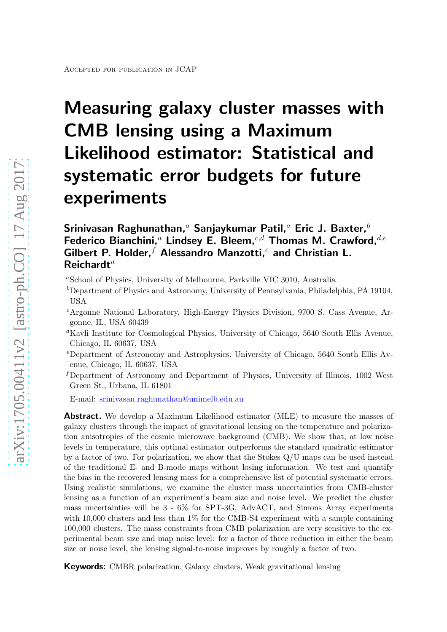# Measuring galaxy cluster masses with CMB lensing using a Maximum Likelihood estimator: Statistical and systematic error budgets for future experiments

# Srinivasan Raghunathan,<sup>a</sup> Sanjaykumar Patil,<sup>a</sup> Eric J. Baxter,<sup>b</sup> Federico Bianchini,<sup>a</sup> Lindsey E. Bleem,<sup>c,d</sup> Thomas M. Crawford,<sup>d,e</sup> Gilbert P. Holder,  $f$  Alessandro Manzotti, $e$  and Christian L.  $Reichardt^a$

<sup>a</sup>School of Physics, University of Melbourne, Parkville VIC 3010, Australia

- <sup>b</sup>Department of Physics and Astronomy, University of Pennsylvania, Philadelphia, PA 19104, USA
- ${}^{c}$ Argonne National Laboratory, High-Energy Physics Division, 9700 S. Cass Avenue, Argonne, IL, USA 60439
- ${}^{d}$ Kavli Institute for Cosmological Physics, University of Chicago, 5640 South Ellis Avenue, Chicago, IL 60637, USA
- <sup>e</sup>Department of Astronomy and Astrophysics, University of Chicago, 5640 South Ellis Avenue, Chicago, IL 60637, USA
- $<sup>f</sup>$ Department of Astronomy and Department of Physics, University of Illinois, 1002 West</sup> Green St., Urbana, IL 61801

E-mail: [srinivasan.raghunathan@unimelb.edu.au](mailto:srinivasan.raghunathan@unimelb.edu.au)

**Abstract.** We develop a Maximum Likelihood estimator (MLE) to measure the masses of galaxy clusters through the impact of gravitational lensing on the temperature and polarization anisotropies of the cosmic microwave background (CMB). We show that, at low noise levels in temperature, this optimal estimator outperforms the standard quadratic estimator by a factor of two. For polarization, we show that the Stokes Q/U maps can be used instead of the traditional E- and B-mode maps without losing information. We test and quantify the bias in the recovered lensing mass for a comprehensive list of potential systematic errors. Using realistic simulations, we examine the cluster mass uncertainties from CMB-cluster lensing as a function of an experiment's beam size and noise level. We predict the cluster mass uncertainties will be 3 - 6% for SPT-3G, AdvACT, and Simons Array experiments with  $10,000$  clusters and less than  $1\%$  for the CMB-S4 experiment with a sample containing 100,000 clusters. The mass constraints from CMB polarization are very sensitive to the experimental beam size and map noise level: for a factor of three reduction in either the beam size or noise level, the lensing signal-to-noise improves by roughly a factor of two.

Keywords: CMBR polarization, Galaxy clusters, Weak gravitational lensing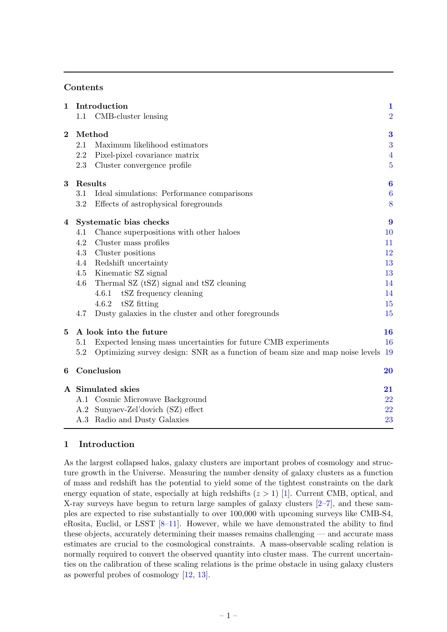# Contents

| $\mathbf 1$ |         | Introduction                                                                  | $\mathbf{1}$     |
|-------------|---------|-------------------------------------------------------------------------------|------------------|
|             | $1.1\,$ | CMB-cluster lensing                                                           | $\overline{2}$   |
| $\bf{2}$    |         | Method                                                                        | $\bf{3}$         |
|             | 2.1     | Maximum likelihood estimators                                                 | 3                |
|             | 2.2     | Pixel-pixel covariance matrix                                                 | $\overline{4}$   |
|             | 2.3     | Cluster convergence profile                                                   | $\overline{5}$   |
| 3           | Results |                                                                               | $\boldsymbol{6}$ |
|             | $3.1\,$ | Ideal simulations: Performance comparisons                                    | $\boldsymbol{6}$ |
|             | $3.2\,$ | Effects of astrophysical foregrounds                                          | 8                |
| 4           |         | Systematic bias checks                                                        | 9                |
|             | 4.1     | Chance superpositions with other haloes                                       | 10               |
|             | 4.2     | Cluster mass profiles                                                         | 11               |
|             | 4.3     | Cluster positions                                                             | 12               |
|             | 4.4     | Redshift uncertainty                                                          | 13               |
|             | 4.5     | Kinematic SZ signal                                                           | 13               |
|             | $4.6\,$ | Thermal SZ (tSZ) signal and tSZ cleaning                                      | 14               |
|             |         | tSZ frequency cleaning<br>4.6.1                                               | 14               |
|             |         | tSZ fitting<br>4.6.2                                                          | 15               |
|             | 4.7     | Dusty galaxies in the cluster and other foregrounds                           | 15               |
| 5           |         | A look into the future                                                        | 16               |
|             | 5.1     | Expected lensing mass uncertainties for future CMB experiments                | 16               |
|             | $5.2\,$ | Optimizing survey design: SNR as a function of beam size and map noise levels | <b>19</b>        |
| 6           |         | Conclusion                                                                    | <b>20</b>        |
|             |         | A Simulated skies                                                             | 21               |
|             |         | A.1 Cosmic Microwave Background                                               | 22               |
|             |         | A.2 Sunyaev-Zel'dovich (SZ) effect                                            | 22               |
|             |         | A.3 Radio and Dusty Galaxies                                                  | 23               |

# <span id="page-1-0"></span>1 Introduction

As the largest collapsed halos, galaxy clusters are important probes of cosmology and structure growth in the Universe. Measuring the number density of galaxy clusters as a function of mass and redshift has the potential to yield some of the tightest constraints on the dark energy equation of state, especially at high redshifts  $(z > 1)$  [\[1](#page-23-1)]. Current CMB, optical, and X-ray surveys have begun to return large samples of galaxy clusters [\[2](#page-24-0)[–7\]](#page-24-1), and these samples are expected to rise substantially to over 100,000 with upcoming surveys like CMB-S4, eRosita, Euclid, or LSST  $[8-11]$ . However, while we have demonstrated the ability to find these objects, accurately determining their masses remains challenging — and accurate mass estimates are crucial to the cosmological constraints. A mass-observable scaling relation is normally required to convert the observed quantity into cluster mass. The current uncertainties on the calibration of these scaling relations is the prime obstacle in using galaxy clusters as powerful probes of cosmology [\[12](#page-24-4), [13\]](#page-24-5).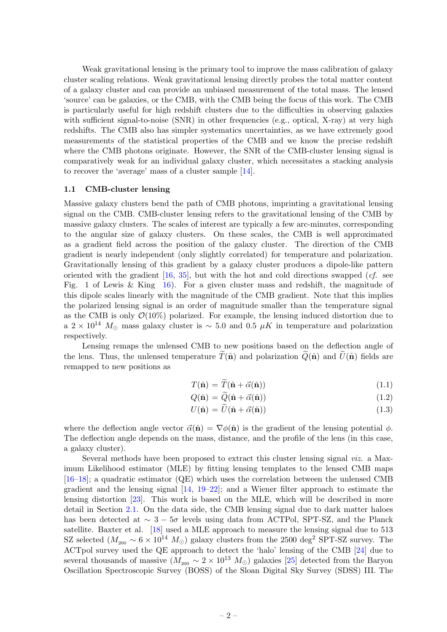Weak gravitational lensing is the primary tool to improve the mass calibration of galaxy cluster scaling relations. Weak gravitational lensing directly probes the total matter content of a galaxy cluster and can provide an unbiased measurement of the total mass. The lensed 'source' can be galaxies, or the CMB, with the CMB being the focus of this work. The CMB is particularly useful for high redshift clusters due to the difficulties in observing galaxies with sufficient signal-to-noise (SNR) in other frequencies (e.g., optical, X-ray) at very high redshifts. The CMB also has simpler systematics uncertainties, as we have extremely good measurements of the statistical properties of the CMB and we know the precise redshift where the CMB photons originate. However, the SNR of the CMB-cluster lensing signal is comparatively weak for an individual galaxy cluster, which necessitates a stacking analysis to recover the 'average' mass of a cluster sample [\[14](#page-24-6)].

#### <span id="page-2-0"></span>1.1 CMB-cluster lensing

Massive galaxy clusters bend the path of CMB photons, imprinting a gravitational lensing signal on the CMB. CMB-cluster lensing refers to the gravitational lensing of the CMB by massive galaxy clusters. The scales of interest are typically a few arc-minutes, corresponding to the angular size of galaxy clusters. On these scales, the CMB is well approximated as a gradient field across the position of the galaxy cluster. The direction of the CMB gradient is nearly independent (only slightly correlated) for temperature and polarization. Gravitationally lensing of this gradient by a galaxy cluster produces a dipole-like pattern oriented with the gradient  $[16, 35]$  $[16, 35]$ , but with the hot and cold directions swapped (*cf.* see Fig. 1 of Lewis & King  $16$ ). For a given cluster mass and redshift, the magnitude of this dipole scales linearly with the magnitude of the CMB gradient. Note that this implies the polarized lensing signal is an order of magnitude smaller than the temperature signal as the CMB is only  $\mathcal{O}(10\%)$  polarized. For example, the lensing induced distortion due to a 2 × 10<sup>14</sup>  $M_{\odot}$  mass galaxy cluster is ~ 5.0 and 0.5  $\mu$ K in temperature and polarization respectively.

Lensing remaps the unlensed CMB to new positions based on the deflection angle of the lens. Thus, the unlensed temperature  $T(\hat{\bf{n}})$  and polarization  $Q(\hat{\bf{n}})$  and  $U(\hat{\bf{n}})$  fields are remapped to new positions as

$$
T(\hat{\mathbf{n}}) = T(\hat{\mathbf{n}} + \vec{\alpha}(\hat{\mathbf{n}}))
$$
\n(1.1)

$$
Q(\hat{\mathbf{n}}) = Q(\hat{\mathbf{n}} + \vec{\alpha}(\hat{\mathbf{n}}))
$$
\n(1.2)

$$
U(\hat{\mathbf{n}}) = \tilde{U}(\hat{\mathbf{n}} + \vec{\alpha}(\hat{\mathbf{n}}))
$$
\n(1.3)

where the deflection angle vector  $\vec{\alpha}(\hat{\mathbf{n}}) = \nabla \phi(\hat{\mathbf{n}})$  is the gradient of the lensing potential  $\phi$ . The deflection angle depends on the mass, distance, and the profile of the lens (in this case, a galaxy cluster).

Several methods have been proposed to extract this cluster lensing signal viz. a Maximum Likelihood estimator (MLE) by fitting lensing templates to the lensed CMB maps [\[16](#page-24-7)[–18](#page-24-8)]; a quadratic estimator (QE) which uses the correlation between the unlensed CMB gradient and the lensing signal [\[14](#page-24-6), [19](#page-24-9)[–22](#page-24-10)]; and a Wiener filter approach to estimate the lensing distortion [\[23](#page-25-1)]. This work is based on the MLE, which will be described in more detail in Section [2.1.](#page-3-1) On the data side, the CMB lensing signal due to dark matter haloes has been detected at  $\sim 3 - 5\sigma$  levels using data from ACTPol, SPT-SZ, and the Planck satellite. Baxter et al. [\[18\]](#page-24-8) used a MLE approach to measure the lensing signal due to 513 SZ selected  $(M_{200} \sim 6 \times 10^{14} M_{\odot})$  galaxy clusters from the 2500 deg<sup>2</sup> SPT-SZ survey. The ACTpol survey used the QE approach to detect the 'halo' lensing of the CMB [\[24](#page-25-2)] due to several thousands of massive  $(M_{200} \sim 2 \times 10^{13} M_{\odot})$  galaxies [\[25\]](#page-25-3) detected from the Baryon Oscillation Spectroscopic Survey (BOSS) of the Sloan Digital Sky Survey (SDSS) III. The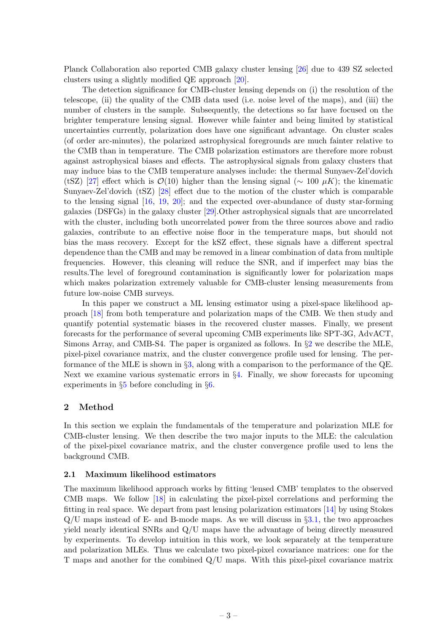Planck Collaboration also reported CMB galaxy cluster lensing [\[26\]](#page-25-4) due to 439 SZ selected clusters using a slightly modified QE approach [\[20](#page-24-11)].

The detection significance for CMB-cluster lensing depends on (i) the resolution of the telescope, (ii) the quality of the CMB data used (i.e. noise level of the maps), and (iii) the number of clusters in the sample. Subsequently, the detections so far have focused on the brighter temperature lensing signal. However while fainter and being limited by statistical uncertainties currently, polarization does have one significant advantage. On cluster scales (of order arc-minutes), the polarized astrophysical foregrounds are much fainter relative to the CMB than in temperature. The CMB polarization estimators are therefore more robust against astrophysical biases and effects. The astrophysical signals from galaxy clusters that may induce bias to the CMB temperature analyses include: the thermal Sunyaev-Zel'dovich (tSZ) [\[27\]](#page-25-5) effect which is  $\mathcal{O}(10)$  higher than the lensing signal ( $\sim 100 \mu K$ ); the kinematic Sunyaev-Zel'dovich (tSZ) [\[28\]](#page-25-6) effect due to the motion of the cluster which is comparable to the lensing signal [\[16](#page-24-7), [19,](#page-24-9) [20](#page-24-11)]; and the expected over-abundance of dusty star-forming galaxies (DSFGs) in the galaxy cluster [\[29](#page-25-7)].Other astrophysical signals that are uncorrelated with the cluster, including both uncorrelated power from the three sources above and radio galaxies, contribute to an effective noise floor in the temperature maps, but should not bias the mass recovery. Except for the kSZ effect, these signals have a different spectral dependence than the CMB and may be removed in a linear combination of data from multiple frequencies. However, this cleaning will reduce the SNR, and if imperfect may bias the results.The level of foreground contamination is significantly lower for polarization maps which makes polarization extremely valuable for CMB-cluster lensing measurements from future low-noise CMB surveys.

In this paper we construct a ML lensing estimator using a pixel-space likelihood approach [\[18\]](#page-24-8) from both temperature and polarization maps of the CMB. We then study and quantify potential systematic biases in the recovered cluster masses. Finally, we present forecasts for the performance of several upcoming CMB experiments like SPT-3G, AdvACT, Simons Array, and CMB-S4. The paper is organized as follows. In §[2](#page-3-0) we describe the MLE, pixel-pixel covariance matrix, and the cluster convergence profile used for lensing. The performance of the MLE is shown in §[3,](#page-6-0) along with a comparison to the performance of the QE. Next we examine various systematic errors in  $\S4$ . Finally, we show forecasts for upcoming experiments in §[5](#page-16-0) before concluding in §[6.](#page-20-0)

# <span id="page-3-0"></span>2 Method

In this section we explain the fundamentals of the temperature and polarization MLE for CMB-cluster lensing. We then describe the two major inputs to the MLE: the calculation of the pixel-pixel covariance matrix, and the cluster convergence profile used to lens the background CMB.

#### <span id="page-3-1"></span>2.1 Maximum likelihood estimators

The maximum likelihood approach works by fitting 'lensed CMB' templates to the observed CMB maps. We follow [\[18](#page-24-8)] in calculating the pixel-pixel correlations and performing the fitting in real space. We depart from past lensing polarization estimators [\[14](#page-24-6)] by using Stokes  $Q/U$  maps instead of E- and B-mode maps. As we will discuss in  $\S 3.1$ , the two approaches yield nearly identical SNRs and Q/U maps have the advantage of being directly measured by experiments. To develop intuition in this work, we look separately at the temperature and polarization MLEs. Thus we calculate two pixel-pixel covariance matrices: one for the T maps and another for the combined Q/U maps. With this pixel-pixel covariance matrix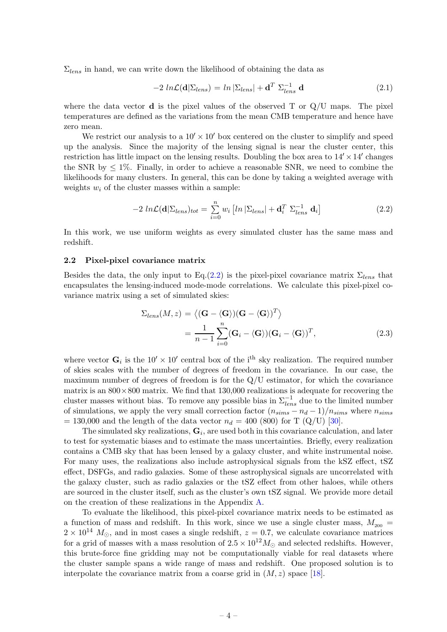$\Sigma_{lens}$  in hand, we can write down the likelihood of obtaining the data as

$$
-2 \ln \mathcal{L}(\mathbf{d}|\Sigma_{lens}) = \ln |\Sigma_{lens}| + \mathbf{d}^T \Sigma_{lens}^{-1} \mathbf{d}
$$
 (2.1)

where the data vector **d** is the pixel values of the observed T or  $Q/U$  maps. The pixel temperatures are defined as the variations from the mean CMB temperature and hence have zero mean.

We restrict our analysis to a  $10' \times 10'$  box centered on the cluster to simplify and speed up the analysis. Since the majority of the lensing signal is near the cluster center, this restriction has little impact on the lensing results. Doubling the box area to  $14' \times 14'$  changes the SNR by  $\leq 1\%$ . Finally, in order to achieve a reasonable SNR, we need to combine the likelihoods for many clusters. In general, this can be done by taking a weighted average with weights  $w_i$  of the cluster masses within a sample:

<span id="page-4-1"></span>
$$
-2 \ln \mathcal{L}(\mathbf{d}|\Sigma_{lens})_{tot} = \sum_{i=0}^{n} w_i \left[ ln |\Sigma_{lens}| + \mathbf{d}_i^T \Sigma_{lens}^{-1} \mathbf{d}_i \right]
$$
(2.2)

In this work, we use uniform weights as every simulated cluster has the same mass and redshift.

#### <span id="page-4-0"></span>2.2 Pixel-pixel covariance matrix

Besides the data, the only input to Eq.[\(2.2\)](#page-4-1) is the pixel-pixel covariance matrix  $\Sigma_{lens}$  that encapsulates the lensing-induced mode-mode correlations. We calculate this pixel-pixel covariance matrix using a set of simulated skies:

$$
\Sigma_{lens}(M, z) = \langle (\mathbf{G} - \langle \mathbf{G} \rangle)(\mathbf{G} - \langle \mathbf{G} \rangle)^{T} \rangle
$$
  
= 
$$
\frac{1}{n-1} \sum_{i=0}^{n} (\mathbf{G}_{i} - \langle \mathbf{G} \rangle)(\mathbf{G}_{i} - \langle \mathbf{G} \rangle)^{T},
$$
(2.3)

where vector  $\mathbf{G}_i$  is the  $10' \times 10'$  central box of the i<sup>th</sup> sky realization. The required number of skies scales with the number of degrees of freedom in the covariance. In our case, the maximum number of degrees of freedom is for the  $Q/U$  estimator, for which the covariance matrix is an  $800 \times 800$  matrix. We find that 130,000 realizations is adequate for recovering the cluster masses without bias. To remove any possible bias in  $\Sigma_{lens}^{-1}$  due to the limited number of simulations, we apply the very small correction factor  $(n_{sims} - n_d - 1)/n_{sims}$  where  $n_{sims}$  $= 130,000$  and the length of the data vector  $n_d = 400$  (800) for T (Q/U) [\[30](#page-25-8)].

The simulated sky realizations,  $\mathbf{G}_i$ , are used both in this covariance calculation, and later to test for systematic biases and to estimate the mass uncertainties. Briefly, every realization contains a CMB sky that has been lensed by a galaxy cluster, and white instrumental noise. For many uses, the realizations also include astrophysical signals from the kSZ effect, tSZ effect, DSFGs, and radio galaxies. Some of these astrophysical signals are uncorrelated with the galaxy cluster, such as radio galaxies or the tSZ effect from other haloes, while others are sourced in the cluster itself, such as the cluster's own tSZ signal. We provide more detail on the creation of these realizations in the Appendix [A.](#page-21-0)

To evaluate the likelihood, this pixel-pixel covariance matrix needs to be estimated as a function of mass and redshift. In this work, since we use a single cluster mass,  $M_{200}$  =  $2 \times 10^{14}$  M<sub>☉</sub>, and in most cases a single redshift,  $z = 0.7$ , we calculate covariance matrices for a grid of masses with a mass resolution of  $2.5 \times 10^{12} M_{\odot}$  and selected redshifts. However, this brute-force fine gridding may not be computationally viable for real datasets where the cluster sample spans a wide range of mass and redshift. One proposed solution is to interpolate the covariance matrix from a coarse grid in  $(M, z)$  space [\[18\]](#page-24-8).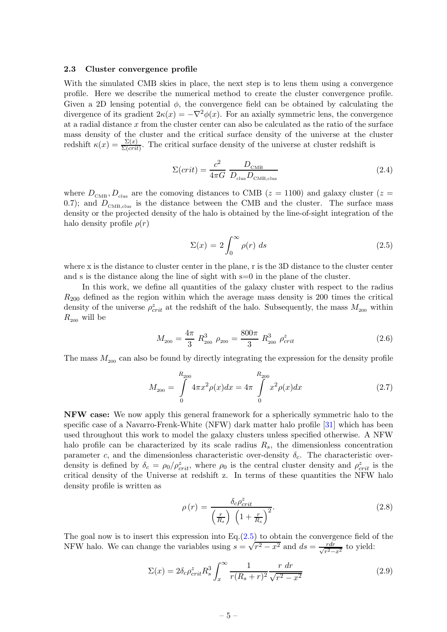#### <span id="page-5-0"></span>2.3 Cluster convergence profile

With the simulated CMB skies in place, the next step is to lens them using a convergence profile. Here we describe the numerical method to create the cluster convergence profile. Given a 2D lensing potential  $\phi$ , the convergence field can be obtained by calculating the divergence of its gradient  $2\kappa(x) = -\nabla^2 \phi(x)$ . For an axially symmetric lens, the convergence at a radial distance  $x$  from the cluster center can also be calculated as the ratio of the surface mass density of the cluster and the critical surface density of the universe at the cluster redshift  $\kappa(x) = \frac{\Sigma(x)}{\Sigma(crit)}$ . The critical surface density of the universe at cluster redshift is

$$
\Sigma(crit) = \frac{c^2}{4\pi G} \frac{D_{\text{CMB}}}{D_{\text{clus}} D_{\text{CMB,clus}}}
$$
(2.4)

where  $D_{\text{CMB}}$ ,  $D_{\text{clus}}$  are the comoving distances to CMB ( $z = 1100$ ) and galaxy cluster ( $z =$ 0.7); and  $D_{\text{CMB,clus}}$  is the distance between the CMB and the cluster. The surface mass density or the projected density of the halo is obtained by the line-of-sight integration of the halo density profile  $\rho(r)$ 

<span id="page-5-1"></span>
$$
\Sigma(x) = 2 \int_0^\infty \rho(r) \, ds \tag{2.5}
$$

where x is the distance to cluster center in the plane, r is the 3D distance to the cluster center and s is the distance along the line of sight with s=0 in the plane of the cluster.

In this work, we define all quantities of the galaxy cluster with respect to the radius  $R_{200}$  defined as the region within which the average mass density is 200 times the critical density of the universe  $\rho_{crit}^z$  at the redshift of the halo. Subsequently, the mass  $M_{200}$  within  $R_{200}$  will be

$$
M_{200} = \frac{4\pi}{3} R_{200}^3 \rho_{200} = \frac{800\pi}{3} R_{200}^3 \rho_{crit}^z \tag{2.6}
$$

The mass  $M_{200}$  can also be found by directly integrating the expression for the density profile

$$
M_{200} = \int_{0}^{R_{200}} 4\pi x^2 \rho(x) dx = 4\pi \int_{0}^{R_{200}} x^2 \rho(x) dx
$$
 (2.7)

NFW case: We now apply this general framework for a spherically symmetric halo to the specific case of a Navarro-Frenk-White (NFW) dark matter halo profile [\[31\]](#page-25-9) which has been used throughout this work to model the galaxy clusters unless specified otherwise. A NFW halo profile can be characterized by its scale radius  $R_s$ , the dimensionless concentration parameter c, and the dimensionless characteristic over-density  $\delta_c$ . The characteristic overdensity is defined by  $\delta_c = \rho_0 / \rho_{crit}^z$ , where  $\rho_0$  is the central cluster density and  $\rho_{crit}^z$  is the critical density of the Universe at redshift z. In terms of these quantities the NFW halo density profile is written as

$$
\rho(r) = \frac{\delta_c \rho_{crit}^z}{\left(\frac{r}{R_s}\right) \left(1 + \frac{r}{R_s}\right)^2}.
$$
\n(2.8)

The goal now is to insert this expression into  $Eq.(2.5)$  $Eq.(2.5)$  to obtain the convergence field of the NFW halo. We can change the variables using  $s = \sqrt{r^2 - x^2}$  and  $ds = \frac{rdr}{\sqrt{r^2-4}}$  $\frac{rdr}{r^2-x^2}$  to yield:

<span id="page-5-2"></span>
$$
\Sigma(x) = 2\delta_c \rho_{crit}^z R_s^3 \int_x^\infty \frac{1}{r(R_s+r)^2} \frac{r \ dr}{\sqrt{r^2 - x^2}}
$$
(2.9)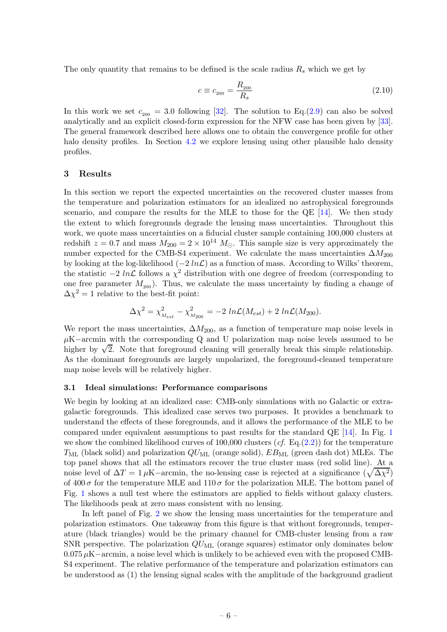The only quantity that remains to be defined is the scale radius  $R_s$  which we get by

$$
c \equiv c_{200} = \frac{R_{200}}{R_s} \tag{2.10}
$$

In this work we set  $c_{200} = 3.0$  following [\[32\]](#page-25-10). The solution to Eq.[\(2.9\)](#page-5-2) can also be solved analytically and an explicit closed-form expression for the NFW case has been given by [\[33](#page-25-11)]. The general framework described here allows one to obtain the convergence profile for other halo density profiles. In Section [4.2](#page-11-0) we explore lensing using other plausible halo density profiles.

#### <span id="page-6-0"></span>3 Results

In this section we report the expected uncertainties on the recovered cluster masses from the temperature and polarization estimators for an idealized no astrophysical foregrounds scenario, and compare the results for the MLE to those for the QE [\[14\]](#page-24-6). We then study the extent to which foregrounds degrade the lensing mass uncertainties. Throughout this work, we quote mass uncertainties on a fiducial cluster sample containing 100,000 clusters at redshift  $z = 0.7$  and mass  $M_{200} = 2 \times 10^{14} M_{\odot}$ . This sample size is very approximately the number expected for the CMB-S4 experiment. We calculate the mass uncertainties  $\Delta M_{200}$ by looking at the log-likelihood ( $-2 ln \mathcal{L}$ ) as a function of mass. According to Wilks' theorem, the statistic  $-2 \ln \mathcal{L}$  follows a  $\chi^2$  distribution with one degree of freedom (corresponding to one free parameter  $M_{200}$ ). Thus, we calculate the mass uncertainty by finding a change of  $\Delta \chi^2 = 1$  relative to the best-fit point:

$$
\Delta \chi^2 = \chi^2_{M_{est}} - \chi^2_{M_{200}} = -2 \ln \mathcal{L}(M_{est}) + 2 \ln \mathcal{L}(M_{200}).
$$

We report the mass uncertainties,  $\Delta M_{200}$ , as a function of temperature map noise levels in  $\mu$ K $-$ arcmin with the corresponding Q and U polarization map noise levels assumed to be higher by  $\sqrt{2}$ . Note that foreground cleaning will generally break this simple relationship. As the dominant foregrounds are largely unpolarized, the foreground-cleaned temperature map noise levels will be relatively higher.

#### <span id="page-6-1"></span>3.1 Ideal simulations: Performance comparisons

We begin by looking at an idealized case: CMB-only simulations with no Galactic or extragalactic foregrounds. This idealized case serves two purposes. It provides a benchmark to understand the effects of these foregrounds, and it allows the performance of the MLE to be compared under equivalent assumptions to past results for the standard QE [\[14](#page-24-6)]. In Fig. [1](#page-7-0) we show the combined likelihood curves of 100,000 clusters  $(cf. Eq.(2.2))$  $(cf. Eq.(2.2))$  $(cf. Eq.(2.2))$  for the temperature  $T_{\rm ML}$  (black solid) and polarization  $QU_{\rm ML}$  (orange solid),  $EB_{\rm ML}$  (green dash dot) MLEs. The top panel shows that all the estimators recover the true cluster mass (red solid line). At a noise level of  $\Delta T = 1 \,\mu\text{K–arcmin}$ , the no-lensing case is rejected at a significance  $(\sqrt{\Delta \chi^2})$ of 400  $\sigma$  for the temperature MLE and 110  $\sigma$  for the polarization MLE. The bottom panel of Fig. [1](#page-7-0) shows a null test where the estimators are applied to fields without galaxy clusters. The likelihoods peak at zero mass consistent with no lensing.

In left panel of Fig. [2](#page-9-1) we show the lensing mass uncertainties for the temperature and polarization estimators. One takeaway from this figure is that without foregrounds, temperature (black triangles) would be the primary channel for CMB-cluster lensing from a raw SNR perspective. The polarization  $QU_{ML}$  (orange squares) estimator only dominates below 0.075 µK−arcmin, a noise level which is unlikely to be achieved even with the proposed CMB-S4 experiment. The relative performance of the temperature and polarization estimators can be understood as (1) the lensing signal scales with the amplitude of the background gradient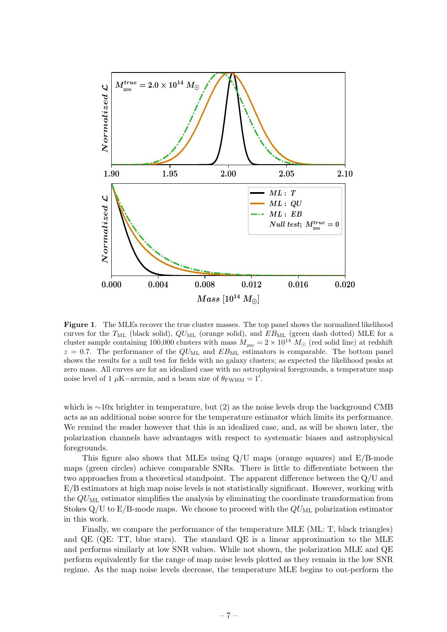

<span id="page-7-0"></span>Figure 1. The MLEs recover the true cluster masses. The top panel shows the normalized likelihood curves for the  $T_{ML}$  (black solid),  $QU_{ML}$  (orange solid), and  $EB_{ML}$  (green dash dotted) MLE for a cluster sample containing 100,000 clusters with mass  $M_{200} = 2 \times 10^{14} M_{\odot}$  (red solid line) at redshift  $z = 0.7$ . The performance of the  $QU_{ML}$  and  $EB_{ML}$  estimators is comparable. The bottom panel shows the results for a null test for fields with no galaxy clusters; as expected the likelihood peaks at zero mass. All curves are for an idealized case with no astrophysical foregrounds, a temperature map noise level of 1  $\mu$ K–arcmin, and a beam size of  $\theta_{\rm FWHM} = 1'$ .

which is ∼10x brighter in temperature, but (2) as the noise levels drop the background CMB acts as an additional noise source for the temperature estimator which limits its performance. We remind the reader however that this is an idealized case, and, as will be shown later, the polarization channels have advantages with respect to systematic biases and astrophysical foregrounds.

This figure also shows that MLEs using  $Q/U$  maps (orange squares) and  $E/B$ -mode maps (green circles) achieve comparable SNRs. There is little to differentiate between the two approaches from a theoretical standpoint. The apparent difference between the Q/U and E/B estimators at high map noise levels is not statistically significant. However, working with the  $QU_{ML}$  estimator simplifies the analysis by eliminating the coordinate transformation from Stokes  $Q/U$  to  $E/B$ -mode maps. We choose to proceed with the  $QU_{ML}$  polarization estimator in this work.

Finally, we compare the performance of the temperature MLE (ML: T, black triangles) and QE (QE: TT, blue stars). The standard QE is a linear approximation to the MLE and performs similarly at low SNR values. While not shown, the polarization MLE and QE perform equivalently for the range of map noise levels plotted as they remain in the low SNR regime. As the map noise levels decrease, the temperature MLE begins to out-perform the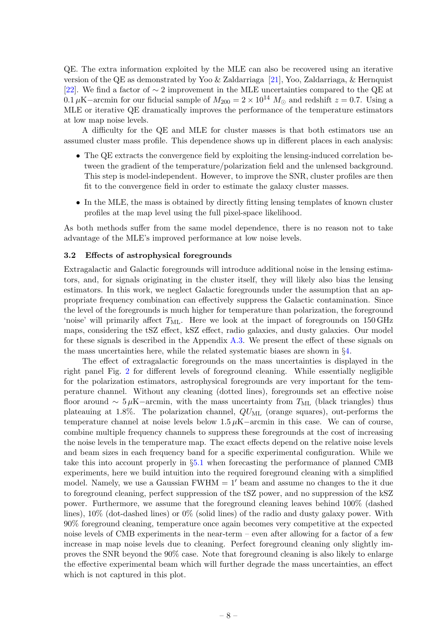QE. The extra information exploited by the MLE can also be recovered using an iterative version of the QE as demonstrated by Yoo & Zaldarriaga [\[21](#page-24-12)], Yoo, Zaldarriaga, & Hernquist [\[22\]](#page-24-10). We find a factor of  $\sim$  2 improvement in the MLE uncertainties compared to the QE at 0.1  $\mu$ K−arcmin for our fiducial sample of  $M_{200} = 2 \times 10^{14} M_{\odot}$  and redshift  $z = 0.7$ . Using a MLE or iterative QE dramatically improves the performance of the temperature estimators at low map noise levels.

A difficulty for the QE and MLE for cluster masses is that both estimators use an assumed cluster mass profile. This dependence shows up in different places in each analysis:

- The QE extracts the convergence field by exploiting the lensing-induced correlation between the gradient of the temperature/polarization field and the unlensed background. This step is model-independent. However, to improve the SNR, cluster profiles are then fit to the convergence field in order to estimate the galaxy cluster masses.
- In the MLE, the mass is obtained by directly fitting lensing templates of known cluster profiles at the map level using the full pixel-space likelihood.

As both methods suffer from the same model dependence, there is no reason not to take advantage of the MLE's improved performance at low noise levels.

#### <span id="page-8-0"></span>3.2 Effects of astrophysical foregrounds

Extragalactic and Galactic foregrounds will introduce additional noise in the lensing estimators, and, for signals originating in the cluster itself, they will likely also bias the lensing estimators. In this work, we neglect Galactic foregrounds under the assumption that an appropriate frequency combination can effectively suppress the Galactic contamination. Since the level of the foregrounds is much higher for temperature than polarization, the foreground 'noise' will primarily affect  $T_{ML}$ . Here we look at the impact of foregrounds on 150 GHz maps, considering the tSZ effect, kSZ effect, radio galaxies, and dusty galaxies. Our model for these signals is described in the Appendix [A.3.](#page-23-0) We present the effect of these signals on the mass uncertainties here, while the related systematic biases are shown in §[4.](#page-9-0)

The effect of extragalactic foregrounds on the mass uncertainties is displayed in the right panel Fig. [2](#page-9-1) for different levels of foreground cleaning. While essentially negligible for the polarization estimators, astrophysical foregrounds are very important for the temperature channel. Without any cleaning (dotted lines), foregrounds set an effective noise floor around  $\sim 5 \mu$ K–arcmin, with the mass uncertainty from  $T_{ML}$  (black triangles) thus plateauing at 1.8%. The polarization channel,  $QU_{ML}$  (orange squares), out-performs the temperature channel at noise levels below  $1.5 \mu$ K $-$ arcmin in this case. We can of course, combine multiple frequency channels to suppress these foregrounds at the cost of increasing the noise levels in the temperature map. The exact effects depend on the relative noise levels and beam sizes in each frequency band for a specific experimental configuration. While we take this into account properly in §[5.1](#page-16-1) when forecasting the performance of planned CMB experiments, here we build intuition into the required foreground cleaning with a simplified model. Namely, we use a Gaussian  $FWHM = 1'$  beam and assume no changes to the it due to foreground cleaning, perfect suppression of the tSZ power, and no suppression of the kSZ power. Furthermore, we assume that the foreground cleaning leaves behind 100% (dashed lines), 10% (dot-dashed lines) or 0% (solid lines) of the radio and dusty galaxy power. With 90% foreground cleaning, temperature once again becomes very competitive at the expected noise levels of CMB experiments in the near-term – even after allowing for a factor of a few increase in map noise levels due to cleaning. Perfect foreground cleaning only slightly improves the SNR beyond the 90% case. Note that foreground cleaning is also likely to enlarge the effective experimental beam which will further degrade the mass uncertainties, an effect which is not captured in this plot.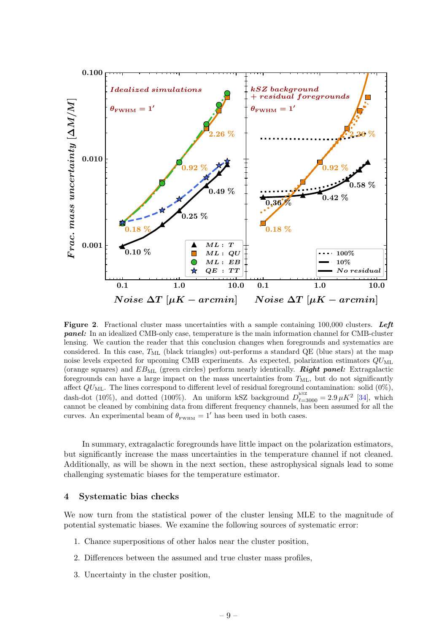

<span id="page-9-1"></span>Figure 2. Fractional cluster mass uncertainties with a sample containing 100,000 clusters. Left panel: In an idealized CMB-only case, temperature is the main information channel for CMB-cluster lensing. We caution the reader that this conclusion changes when foregrounds and systematics are considered. In this case,  $T_{ML}$  (black triangles) out-performs a standard QE (blue stars) at the map noise levels expected for upcoming CMB experiments. As expected, polarization estimators  $QU_{ML}$ (orange squares) and  $EB_{ML}$  (green circles) perform nearly identically. **Right panel:** Extragalactic foregrounds can have a large impact on the mass uncertainties from  $T_{ML}$ , but do not significantly affect  $QU_{ML}$ . The lines correspond to different level of residual foreground contamination: solid  $(0\%)$ , dash-dot (10%), and dotted (100%). An uniform kSZ background  $D_{\ell=3000}^{\text{ksZ}} = 2.9 \,\mu K^2$  [\[34\]](#page-25-12), which cannot be cleaned by combining data from different frequency channels, has been assumed for all the curves. An experimental beam of  $\theta_{\text{FWHM}} = 1'$  has been used in both cases.

In summary, extragalactic foregrounds have little impact on the polarization estimators, but significantly increase the mass uncertainties in the temperature channel if not cleaned. Additionally, as will be shown in the next section, these astrophysical signals lead to some challenging systematic biases for the temperature estimator.

#### <span id="page-9-0"></span>4 Systematic bias checks

We now turn from the statistical power of the cluster lensing MLE to the magnitude of potential systematic biases. We examine the following sources of systematic error:

- 1. Chance superpositions of other halos near the cluster position,
- 2. Differences between the assumed and true cluster mass profiles,
- 3. Uncertainty in the cluster position,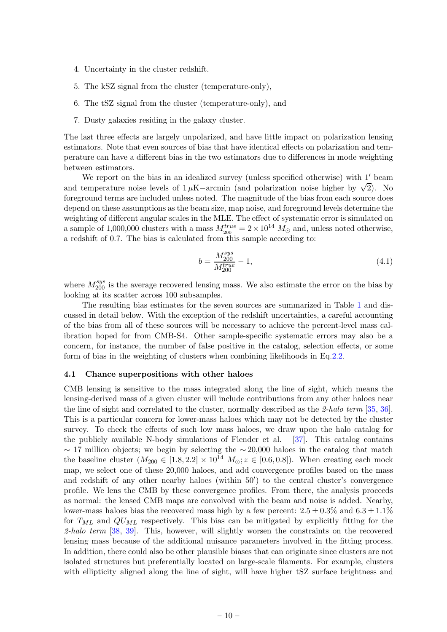- 4. Uncertainty in the cluster redshift.
- 5. The kSZ signal from the cluster (temperature-only),
- 6. The tSZ signal from the cluster (temperature-only), and
- 7. Dusty galaxies residing in the galaxy cluster.

The last three effects are largely unpolarized, and have little impact on polarization lensing estimators. Note that even sources of bias that have identical effects on polarization and temperature can have a different bias in the two estimators due to differences in mode weighting between estimators.

We report on the bias in an idealized survey (unless specified otherwise) with 1' beam and temperature noise levels of  $1 \mu$ K–arcmin (and polarization noise higher by  $\sqrt{2}$ ). No foreground terms are included unless noted. The magnitude of the bias from each source does depend on these assumptions as the beam size, map noise, and foreground levels determine the weighting of different angular scales in the MLE. The effect of systematic error is simulated on a sample of 1,000,000 clusters with a mass  $M_{200}^{true} = 2 \times 10^{14} M_{\odot}$  and, unless noted otherwise, a redshift of 0.7. The bias is calculated from this sample according to:

$$
b = \frac{M_{200}^{sys}}{M_{200}^{true}} - 1,\tag{4.1}
$$

where  $M_{200}^{sys}$  is the average recovered lensing mass. We also estimate the error on the bias by looking at its scatter across 100 subsamples.

The resulting bias estimates for the seven sources are summarized in Table [1](#page-16-2) and discussed in detail below. With the exception of the redshift uncertainties, a careful accounting of the bias from all of these sources will be necessary to achieve the percent-level mass calibration hoped for from CMB-S4. Other sample-specific systematic errors may also be a concern, for instance, the number of false positive in the catalog, selection effects, or some form of bias in the weighting of clusters when combining likelihoods in Eq[.2.2.](#page-4-1)

#### <span id="page-10-0"></span>4.1 Chance superpositions with other haloes

CMB lensing is sensitive to the mass integrated along the line of sight, which means the lensing-derived mass of a given cluster will include contributions from any other haloes near the line of sight and correlated to the cluster, normally described as the 2-halo term [\[35](#page-25-0), [36](#page-25-13)]. This is a particular concern for lower-mass haloes which may not be detected by the cluster survey. To check the effects of such low mass haloes, we draw upon the halo catalog for the publicly available N-body simulations of Flender et al. [\[37](#page-25-14)]. This catalog contains  $\sim$  17 million objects; we begin by selecting the  $\sim$  20,000 haloes in the catalog that match the baseline cluster  $(M_{200} \in [1.8, 2.2] \times 10^{14} M_{\odot}; z \in [0.6, 0.8]$ ). When creating each mock map, we select one of these 20,000 haloes, and add convergence profiles based on the mass and redshift of any other nearby haloes (within 50′ ) to the central cluster's convergence profile. We lens the CMB by these convergence profiles. From there, the analysis proceeds as normal: the lensed CMB maps are convolved with the beam and noise is added. Nearby, lower-mass haloes bias the recovered mass high by a few percent:  $2.5 \pm 0.3\%$  and  $6.3 \pm 1.1\%$ for  $T_{ML}$  and  $QU_{ML}$  respectively. This bias can be mitigated by explicitly fitting for the  $2$ -halo term  $[38, 39]$  $[38, 39]$  $[38, 39]$  $[38, 39]$ . This, however, will slightly worsen the constraints on the recovered lensing mass because of the additional nuisance parameters involved in the fitting process. In addition, there could also be other plausible biases that can originate since clusters are not isolated structures but preferentially located on large-scale filaments. For example, clusters with ellipticity aligned along the line of sight, will have higher tSZ surface brightness and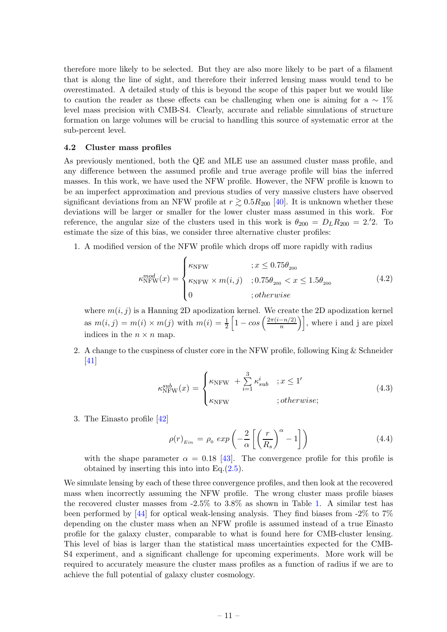therefore more likely to be selected. But they are also more likely to be part of a filament that is along the line of sight, and therefore their inferred lensing mass would tend to be overestimated. A detailed study of this is beyond the scope of this paper but we would like to caution the reader as these effects can be challenging when one is aiming for a  $\sim 1\%$ level mass precision with CMB-S4. Clearly, accurate and reliable simulations of structure formation on large volumes will be crucial to handling this source of systematic error at the sub-percent level.

#### <span id="page-11-0"></span>4.2 Cluster mass profiles

As previously mentioned, both the QE and MLE use an assumed cluster mass profile, and any difference between the assumed profile and true average profile will bias the inferred masses. In this work, we have used the NFW profile. However, the NFW profile is known to be an imperfect approximation and previous studies of very massive clusters have observed significant deviations from an NFW profile at  $r \gtrsim 0.5R_{200}$  [\[40\]](#page-25-17). It is unknown whether these deviations will be larger or smaller for the lower cluster mass assumed in this work. For reference, the angular size of the clusters used in this work is  $\theta_{200} = D_L R_{200} = 2.2$ . To estimate the size of this bias, we consider three alternative cluster profiles:

1. A modified version of the NFW profile which drops off more rapidly with radius

$$
\kappa_{\text{NFW}}^{mod}(x) = \begin{cases} \kappa_{\text{NFW}} & ; x \leq 0.75\theta_{200} \\ \kappa_{\text{NFW}} \times m(i,j) & ; 0.75\theta_{200} < x \leq 1.5\theta_{200} \\ 0 & ; otherwise \end{cases} \tag{4.2}
$$

where  $m(i, j)$  is a Hanning 2D apodization kernel. We create the 2D apodization kernel as  $m(i, j) = m(i) \times m(j)$  with  $m(i) = \frac{1}{2}$  $\left[1-\cos\left(\frac{2\pi(i-n/2)}{n}\right)\right]$ , where i and j are pixel indices in the  $n \times n$  map.

2. A change to the cuspiness of cluster core in the NFW profile, following King & Schneider [\[41](#page-25-18)]

$$
\kappa_{\text{NFW}}^{sub}(x) = \begin{cases} \kappa_{\text{NFW}} + \sum_{i=1}^{3} \kappa_{sub}^{i} & ; x \le 1' \\ \kappa_{\text{NFW}} & ; otherwise; \end{cases}
$$
(4.3)

3. The Einasto profile [\[42](#page-25-19)]

$$
\rho(r)_{Ein} = \rho_0 \exp\left(-\frac{2}{\alpha} \left[ \left(\frac{r}{R_s}\right)^{\alpha} - 1 \right] \right) \tag{4.4}
$$

with the shape parameter  $\alpha = 0.18$  [\[43](#page-25-20)]. The convergence profile for this profile is obtained by inserting this into into Eq. $(2.5)$ .

We simulate lensing by each of these three convergence profiles, and then look at the recovered mass when incorrectly assuming the NFW profile. The wrong cluster mass profile biases the recovered cluster masses from -2.5% to 3.8% as shown in Table [1.](#page-16-2) A similar test has been performed by [\[44](#page-26-0)] for optical weak-lensing analysis. They find biases from -2% to 7% depending on the cluster mass when an NFW profile is assumed instead of a true Einasto profile for the galaxy cluster, comparable to what is found here for CMB-cluster lensing. This level of bias is larger than the statistical mass uncertainties expected for the CMB-S4 experiment, and a significant challenge for upcoming experiments. More work will be required to accurately measure the cluster mass profiles as a function of radius if we are to achieve the full potential of galaxy cluster cosmology.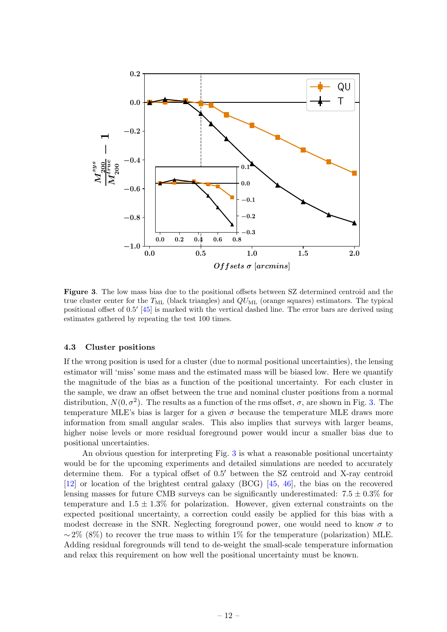

<span id="page-12-1"></span>Figure 3. The low mass bias due to the positional offsets between SZ determined centroid and the true cluster center for the  $T_{\text{ML}}$  (black triangles) and  $QU_{\text{ML}}$  (orange squares) estimators. The typical positional offset of 0.5' [\[45\]](#page-26-1) is marked with the vertical dashed line. The error bars are derived using estimates gathered by repeating the test 100 times.

#### <span id="page-12-0"></span>4.3 Cluster positions

If the wrong position is used for a cluster (due to normal positional uncertainties), the lensing estimator will 'miss' some mass and the estimated mass will be biased low. Here we quantify the magnitude of the bias as a function of the positional uncertainty. For each cluster in the sample, we draw an offset between the true and nominal cluster positions from a normal distribution,  $N(0, \sigma^2)$ . The results as a function of the rms offset,  $\sigma$ , are shown in Fig. [3.](#page-12-1) The temperature MLE's bias is larger for a given  $\sigma$  because the temperature MLE draws more information from small angular scales. This also implies that surveys with larger beams, higher noise levels or more residual foreground power would incur a smaller bias due to positional uncertainties.

An obvious question for interpreting Fig. [3](#page-12-1) is what a reasonable positional uncertainty would be for the upcoming experiments and detailed simulations are needed to accurately determine them. For a typical offset of 0.5 ′ between the SZ centroid and X-ray centroid [\[12\]](#page-24-4) or location of the brightest central galaxy (BCG) [\[45,](#page-26-1) [46](#page-26-2)], the bias on the recovered lensing masses for future CMB surveys can be significantly underestimated:  $7.5 \pm 0.3\%$  for temperature and  $1.5 \pm 1.3\%$  for polarization. However, given external constraints on the expected positional uncertainty, a correction could easily be applied for this bias with a modest decrease in the SNR. Neglecting foreground power, one would need to know  $\sigma$  to  $\sim$  2% (8%) to recover the true mass to within 1% for the temperature (polarization) MLE. Adding residual foregrounds will tend to de-weight the small-scale temperature information and relax this requirement on how well the positional uncertainty must be known.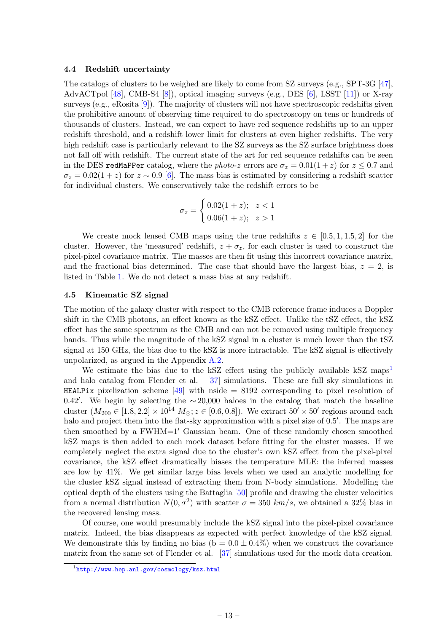#### <span id="page-13-0"></span>4.4 Redshift uncertainty

The catalogs of clusters to be weighed are likely to come from SZ surveys (e.g., SPT-3G [\[47](#page-26-3)], AdvACTpol [\[48](#page-26-4)], CMB-S4 [\[8](#page-24-2)]), optical imaging surveys (e.g., DES [\[6\]](#page-24-13), LSST [\[11](#page-24-3)]) or X-ray surveys (e.g., eRosita [\[9](#page-24-14)]). The majority of clusters will not have spectroscopic redshifts given the prohibitive amount of observing time required to do spectroscopy on tens or hundreds of thousands of clusters. Instead, we can expect to have red sequence redshifts up to an upper redshift threshold, and a redshift lower limit for clusters at even higher redshifts. The very high redshift case is particularly relevant to the SZ surveys as the SZ surface brightness does not fall off with redshift. The current state of the art for red sequence redshifts can be seen in the DES redMaPPer catalog, where the photo-z errors are  $\sigma_z = 0.01(1+z)$  for  $z \leq 0.7$  and  $\sigma_z = 0.02(1+z)$  for  $z \sim 0.9$  [\[6](#page-24-13)]. The mass bias is estimated by considering a redshift scatter for individual clusters. We conservatively take the redshift errors to be

$$
\sigma_z = \begin{cases} 0.02(1+z); & z < 1 \\ 0.06(1+z); & z > 1 \end{cases}
$$

We create mock lensed CMB maps using the true redshifts  $z \in [0.5, 1, 1.5, 2]$  for the cluster. However, the 'measured' redshift,  $z + \sigma_z$ , for each cluster is used to construct the pixel-pixel covariance matrix. The masses are then fit using this incorrect covariance matrix, and the fractional bias determined. The case that should have the largest bias,  $z = 2$ , is listed in Table [1.](#page-16-2) We do not detect a mass bias at any redshift.

#### <span id="page-13-1"></span>4.5 Kinematic SZ signal

The motion of the galaxy cluster with respect to the CMB reference frame induces a Doppler shift in the CMB photons, an effect known as the kSZ effect. Unlike the tSZ effect, the kSZ effect has the same spectrum as the CMB and can not be removed using multiple frequency bands. Thus while the magnitude of the kSZ signal in a cluster is much lower than the tSZ signal at 150 GHz, the bias due to the kSZ is more intractable. The kSZ signal is effectively unpolarized, as argued in the Appendix [A.2.](#page-22-1)

We estimate the bias due to the kSZ effect using the publicly available kSZ maps<sup>[1](#page-13-2)</sup> and halo catalog from Flender et al. [\[37](#page-25-14)] simulations. These are full sky simulations in HEALPix pixelization scheme  $[49]$  with nside = 8192 corresponding to pixel resolution of 0.42′ . We begin by selecting the ∼ 20,000 haloes in the catalog that match the baseline cluster  $(M_{200} \in [1.8, 2.2] \times 10^{14} M_{\odot}; z \in [0.6, 0.8])$ . We extract  $50' \times 50'$  regions around each halo and project them into the flat-sky approximation with a pixel size of 0.5'. The maps are then smoothed by a FWHM=1′ Gaussian beam. One of these randomly chosen smoothed kSZ maps is then added to each mock dataset before fitting for the cluster masses. If we completely neglect the extra signal due to the cluster's own kSZ effect from the pixel-pixel covariance, the kSZ effect dramatically biases the temperature MLE: the inferred masses are low by 41%. We get similar large bias levels when we used an analytic modelling for the cluster kSZ signal instead of extracting them from N-body simulations. Modelling the optical depth of the clusters using the Battaglia [\[50\]](#page-26-6) profile and drawing the cluster velocities from a normal distribution  $N(0, \sigma^2)$  with scatter  $\sigma = 350$  km/s, we obtained a 32% bias in the recovered lensing mass.

Of course, one would presumably include the kSZ signal into the pixel-pixel covariance matrix. Indeed, the bias disappears as expected with perfect knowledge of the kSZ signal. We demonstrate this by finding no bias ( $b = 0.0 \pm 0.4\%$ ) when we construct the covariance matrix from the same set of Flender et al. [\[37\]](#page-25-14) simulations used for the mock data creation.

<span id="page-13-2"></span><sup>1</sup> <http://www.hep.anl.gov/cosmology/ksz.html>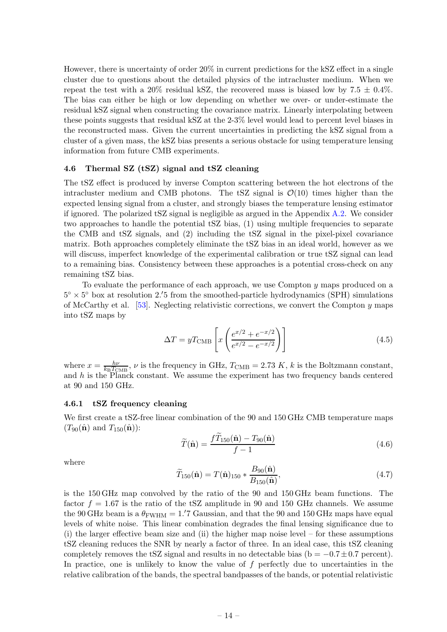However, there is uncertainty of order 20% in current predictions for the kSZ effect in a single cluster due to questions about the detailed physics of the intracluster medium. When we repeat the test with a 20% residual kSZ, the recovered mass is biased low by 7.5  $\pm$  0.4%. The bias can either be high or low depending on whether we over- or under-estimate the residual kSZ signal when constructing the covariance matrix. Linearly interpolating between these points suggests that residual kSZ at the 2-3% level would lead to percent level biases in the reconstructed mass. Given the current uncertainties in predicting the kSZ signal from a cluster of a given mass, the kSZ bias presents a serious obstacle for using temperature lensing information from future CMB experiments.

#### <span id="page-14-0"></span>4.6 Thermal SZ (tSZ) signal and tSZ cleaning

The tSZ effect is produced by inverse Compton scattering between the hot electrons of the intracluster medium and CMB photons. The tSZ signal is  $\mathcal{O}(10)$  times higher than the expected lensing signal from a cluster, and strongly biases the temperature lensing estimator if ignored. The polarized tSZ signal is negligible as argued in the Appendix [A.2.](#page-22-1) We consider two approaches to handle the potential tSZ bias, (1) using multiple frequencies to separate the CMB and tSZ signals, and (2) including the tSZ signal in the pixel-pixel covariance matrix. Both approaches completely eliminate the tSZ bias in an ideal world, however as we will discuss, imperfect knowledge of the experimental calibration or true tSZ signal can lead to a remaining bias. Consistency between these approaches is a potential cross-check on any remaining tSZ bias.

To evaluate the performance of each approach, we use Compton  $y$  maps produced on a  $5^{\circ} \times 5^{\circ}$  box at resolution 2.'5 from the smoothed-particle hydrodynamics (SPH) simulations of McCarthy et al. [\[53](#page-26-7)]. Neglecting relativistic corrections, we convert the Compton y maps into tSZ maps by

$$
\Delta T = yT_{\text{CMB}} \left[ x \left( \frac{e^{x/2} + e^{-x/2}}{e^{x/2} - e^{-x/2}} \right) \right]
$$
\n(4.5)

where  $x = \frac{h\nu}{k_B T_G}$  $\frac{h\nu}{k_{\text{B}}T_{\text{CMB}}}$ ,  $\nu$  is the frequency in GHz,  $T_{\text{CMB}} = 2.73 K$ , k is the Boltzmann constant, and  $h$  is the Planck constant. We assume the experiment has two frequency bands centered at 90 and 150 GHz.

#### <span id="page-14-1"></span>4.6.1 tSZ frequency cleaning

We first create a tSZ-free linear combination of the 90 and 150 GHz CMB temperature maps  $(T_{90}(\hat{\bf n})$  and  $T_{150}(\hat{\bf n}))$ :

$$
\widetilde{T}(\hat{\mathbf{n}}) = \frac{f\widetilde{T}_{150}(\hat{\mathbf{n}}) - T_{90}(\hat{\mathbf{n}})}{f - 1}
$$
\n(4.6)

where

$$
\widetilde{T}_{150}(\hat{\mathbf{n}}) = T(\hat{\mathbf{n}})_{150} * \frac{B_{90}(\hat{\mathbf{n}})}{B_{150}(\hat{\mathbf{n}})},
$$
\n(4.7)

is the 150 GHz map convolved by the ratio of the 90 and 150 GHz beam functions. The factor  $f = 1.67$  is the ratio of the tSZ amplitude in 90 and 150 GHz channels. We assume the 90 GHz beam is a  $\theta_{\rm FWHM} = 1.7$  Gaussian, and that the 90 and 150 GHz maps have equal levels of white noise. This linear combination degrades the final lensing significance due to (i) the larger effective beam size and (ii) the higher map noise level – for these assumptions tSZ cleaning reduces the SNR by nearly a factor of three. In an ideal case, this tSZ cleaning completely removes the tSZ signal and results in no detectable bias ( $b = -0.7 \pm 0.7$  percent). In practice, one is unlikely to know the value of  $f$  perfectly due to uncertainties in the relative calibration of the bands, the spectral bandpasses of the bands, or potential relativistic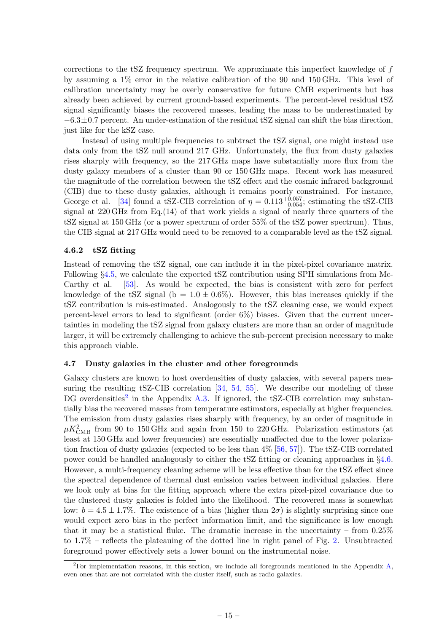corrections to the tSZ frequency spectrum. We approximate this imperfect knowledge of f by assuming a 1% error in the relative calibration of the 90 and 150 GHz. This level of calibration uncertainty may be overly conservative for future CMB experiments but has already been achieved by current ground-based experiments. The percent-level residual tSZ signal significantly biases the recovered masses, leading the mass to be underestimated by  $-6.3\pm0.7$  percent. An under-estimation of the residual tSZ signal can shift the bias direction, just like for the kSZ case.

Instead of using multiple frequencies to subtract the tSZ signal, one might instead use data only from the tSZ null around 217 GHz. Unfortunately, the flux from dusty galaxies rises sharply with frequency, so the 217 GHz maps have substantially more flux from the dusty galaxy members of a cluster than 90 or 150 GHz maps. Recent work has measured the magnitude of the correlation between the tSZ effect and the cosmic infrared background (CIB) due to these dusty galaxies, although it remains poorly constrained. For instance, George et al. [\[34\]](#page-25-12) found a tSZ-CIB correlation of  $\eta = 0.113_{-0.054}^{+0.057}$ ; estimating the tSZ-CIB signal at 220 GHz from Eq.(14) of that work yields a signal of nearly three quarters of the tSZ signal at 150 GHz (or a power spectrum of order 55% of the tSZ power spectrum). Thus, the CIB signal at 217 GHz would need to be removed to a comparable level as the tSZ signal.

### <span id="page-15-0"></span>4.6.2 tSZ fitting

Instead of removing the tSZ signal, one can include it in the pixel-pixel covariance matrix. Following  $\S4.5$ , we calculate the expected tSZ contribution using SPH simulations from Mc-<br>Carthy et al. [53]. As would be expected, the bias is consistent with zero for perfect  $[53]$ . As would be expected, the bias is consistent with zero for perfect knowledge of the tSZ signal (b =  $1.0 \pm 0.6\%$ ). However, this bias increases quickly if the tSZ contribution is mis-estimated. Analogously to the tSZ cleaning case, we would expect percent-level errors to lead to significant (order 6%) biases. Given that the current uncertainties in modeling the tSZ signal from galaxy clusters are more than an order of magnitude larger, it will be extremely challenging to achieve the sub-percent precision necessary to make this approach viable.

#### <span id="page-15-1"></span>4.7 Dusty galaxies in the cluster and other foregrounds

Galaxy clusters are known to host overdensities of dusty galaxies, with several papers mea-suring the resulting tSZ-CIB correlation [\[34](#page-25-12), [54](#page-26-8), [55](#page-26-9)]. We describe our modeling of these DG overdensities<sup>[2](#page-15-2)</sup> in the Appendix [A.3.](#page-23-0) If ignored, the tSZ-CIB correlation may substantially bias the recovered masses from temperature estimators, especially at higher frequencies. The emission from dusty galaxies rises sharply with frequency, by an order of magnitude in  $\mu$ K<sub>CMB</sub> from 90 to 150 GHz and again from 150 to 220 GHz. Polarization estimators (at least at 150 GHz and lower frequencies) are essentially unaffected due to the lower polarization fraction of dusty galaxies (expected to be less than  $4\%$  [\[56](#page-26-10), [57](#page-26-11)]). The tSZ-CIB correlated power could be handled analogously to either the tSZ fitting or cleaning approaches in §[4.6.](#page-14-0) However, a multi-frequency cleaning scheme will be less effective than for the tSZ effect since the spectral dependence of thermal dust emission varies between individual galaxies. Here we look only at bias for the fitting approach where the extra pixel-pixel covariance due to the clustered dusty galaxies is folded into the likelihood. The recovered mass is somewhat low:  $b = 4.5 \pm 1.7\%$ . The existence of a bias (higher than  $2\sigma$ ) is slightly surprising since one would expect zero bias in the perfect information limit, and the significance is low enough that it may be a statistical fluke. The dramatic increase in the uncertainty – from  $0.25\%$ to 1.7% – reflects the plateauing of the dotted line in right panel of Fig. [2.](#page-9-1) Unsubtracted foreground power effectively sets a lower bound on the instrumental noise.

<span id="page-15-2"></span><sup>&</sup>lt;sup>2</sup>For implementation reasons, in this section, we include all foregrounds mentioned in the Appendix  $\ddot{A}$ , even ones that are not correlated with the cluster itself, such as radio galaxies.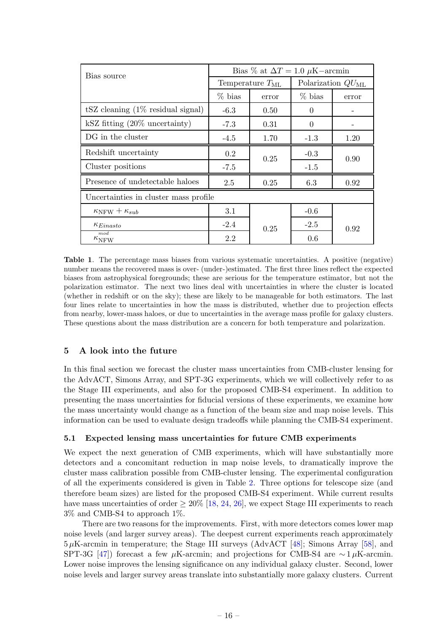| Bias source                                    | Bias % at $\Delta T = 1.0 \mu$ K-arcmin |       |                        |       |  |  |  |  |
|------------------------------------------------|-----------------------------------------|-------|------------------------|-------|--|--|--|--|
|                                                | Temperature $T_{ML}$                    |       | Polarization $QU_{ML}$ |       |  |  |  |  |
|                                                | $%$ bias                                | error | $%$ bias               | error |  |  |  |  |
| $tSZ$ cleaning $(1\% \text{ residual signal})$ | $-6.3$                                  | 0.50  | 0                      |       |  |  |  |  |
| kSZ fitting $(20\% \text{ uncertainty})$       | $-7.3$                                  | 0.31  | $\theta$               |       |  |  |  |  |
| DG in the cluster                              | $-4.5$                                  | 1.70  | $-1.3$                 | 1.20  |  |  |  |  |
| Redshift uncertainty                           | $0.2\,$                                 | 0.25  | $-0.3$                 | 0.90  |  |  |  |  |
| Cluster positions                              | $-7.5$                                  |       | $-1.5$                 |       |  |  |  |  |
| Presence of undetectable haloes                | 2.5                                     | 0.25  | 6.3                    | 0.92  |  |  |  |  |
| Uncertainties in cluster mass profile          |                                         |       |                        |       |  |  |  |  |
| $\kappa_{\text{NFW}} + \kappa_{sub}$           | 3.1                                     |       | $-0.6$                 |       |  |  |  |  |
| $\kappa_{Einasto}$                             | $-2.4$                                  | 0.25  | $-2.5$                 | 0.92  |  |  |  |  |
| mod<br>$\kappa_{\rm NFW}$                      | 2.2                                     |       | 0.6                    |       |  |  |  |  |

<span id="page-16-2"></span>Table 1. The percentage mass biases from various systematic uncertainties. A positive (negative) number means the recovered mass is over- (under-)estimated. The first three lines reflect the expected biases from astrophysical foregrounds; these are serious for the temperature estimator, but not the polarization estimator. The next two lines deal with uncertainties in where the cluster is located (whether in redshift or on the sky); these are likely to be manageable for both estimators. The last four lines relate to uncertainties in how the mass is distributed, whether due to projection effects from nearby, lower-mass haloes, or due to uncertainties in the average mass profile for galaxy clusters. These questions about the mass distribution are a concern for both temperature and polarization.

# <span id="page-16-0"></span>5 A look into the future

In this final section we forecast the cluster mass uncertainties from CMB-cluster lensing for the AdvACT, Simons Array, and SPT-3G experiments, which we will collectively refer to as the Stage III experiments, and also for the proposed CMB-S4 experiment. In addition to presenting the mass uncertainties for fiducial versions of these experiments, we examine how the mass uncertainty would change as a function of the beam size and map noise levels. This information can be used to evaluate design tradeoffs while planning the CMB-S4 experiment.

# <span id="page-16-1"></span>5.1 Expected lensing mass uncertainties for future CMB experiments

We expect the next generation of CMB experiments, which will have substantially more detectors and a concomitant reduction in map noise levels, to dramatically improve the cluster mass calibration possible from CMB-cluster lensing. The experimental configuration of all the experiments considered is given in Table [2.](#page-17-0) Three options for telescope size (and therefore beam sizes) are listed for the proposed CMB-S4 experiment. While current results have mass uncertainties of order  $\geq 20\%$  [\[18,](#page-24-8) [24,](#page-25-2) [26\]](#page-25-4), we expect Stage III experiments to reach 3% and CMB-S4 to approach 1%.

There are two reasons for the improvements. First, with more detectors comes lower map noise levels (and larger survey areas). The deepest current experiments reach approximately  $5 \mu$ K-arcmin in temperature; the Stage III surveys (AdvACT [\[48](#page-26-4)]; Simons Array [\[58](#page-26-12)], and SPT-3G [\[47\]](#page-26-3)) forecast a few µK-arcmin; and projections for CMB-S4 are  $\sim 1 \mu$ K-arcmin. Lower noise improves the lensing significance on any individual galaxy cluster. Second, lower noise levels and larger survey areas translate into substantially more galaxy clusters. Current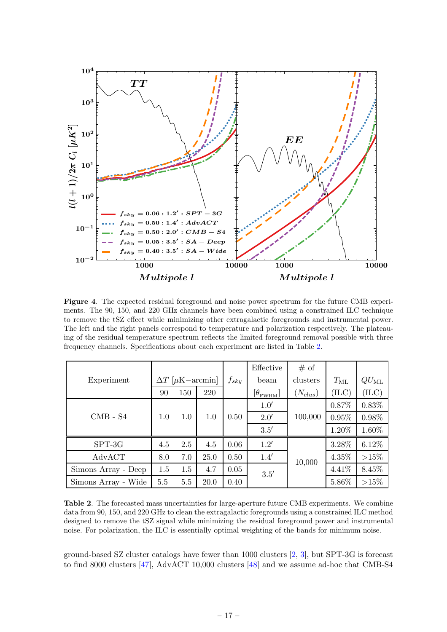

<span id="page-17-1"></span>Figure 4. The expected residual foreground and noise power spectrum for the future CMB experiments. The 90, 150, and 220 GHz channels have been combined using a constrained ILC technique to remove the tSZ effect while minimizing other extragalactic foregrounds and instrumental power. The left and the right panels correspond to temperature and polarization respectively. The plateauing of the residual temperature spectrum reflects the limited foreground removal possible with three frequency channels. Specifications about each experiment are listed in Table [2.](#page-17-0)

|                     |                              |     |      |           | Effective             | # of         |              |               |         |
|---------------------|------------------------------|-----|------|-----------|-----------------------|--------------|--------------|---------------|---------|
| Experiment          | $\Delta T$ [ $\mu$ K-arcmin] |     |      | $f_{sky}$ | beam                  | clusters     | $T_{\rm ML}$ | $QU_{\rm ML}$ |         |
|                     | 90                           | 150 | 220  |           | $[\theta_{\rm FWHM}]$ | $(N_{clus})$ | (ILC)        | (ILC)         |         |
|                     | 1.0                          | 1.0 | 1.0  | 0.50      | 1.0'                  | 100,000      | 0.87%        | $0.83\%$      |         |
| $CMB - S4$          |                              |     |      |           | 2.0'                  |              | 0.95%        | 0.98%         |         |
|                     |                              |     |      |           | 3.5'                  |              | 1.20%        | 1.60%         |         |
| SPT-3G              | 4.5                          | 2.5 | 4.5  | 0.06      | 1.2'                  |              | 3.28%        | $6.12\%$      |         |
| AdvACT              | 8.0                          | 7.0 | 25.0 | 0.50      | 1.4'                  | 10,000       | 4.35%        | >15%          |         |
| Simons Array - Deep | 1.5                          | 1.5 | 4.7  | 0.05      | 3.5'                  |              |              | $4.41\%$      | 8.45%   |
| Simons Array - Wide | 5.5                          | 5.5 | 20.0 | 0.40      |                       |              |              | 5.86%         | $>15\%$ |

<span id="page-17-0"></span>Table 2. The forecasted mass uncertainties for large-aperture future CMB experiments. We combine data from 90, 150, and 220 GHz to clean the extragalactic foregrounds using a constrained ILC method designed to remove the tSZ signal while minimizing the residual foreground power and instrumental noise. For polarization, the ILC is essentially optimal weighting of the bands for minimum noise.

ground-based SZ cluster catalogs have fewer than 1000 clusters [\[2,](#page-24-0) [3](#page-24-15)], but SPT-3G is forecast to find 8000 clusters [\[47](#page-26-3)], AdvACT 10,000 clusters [\[48](#page-26-4)] and we assume ad-hoc that CMB-S4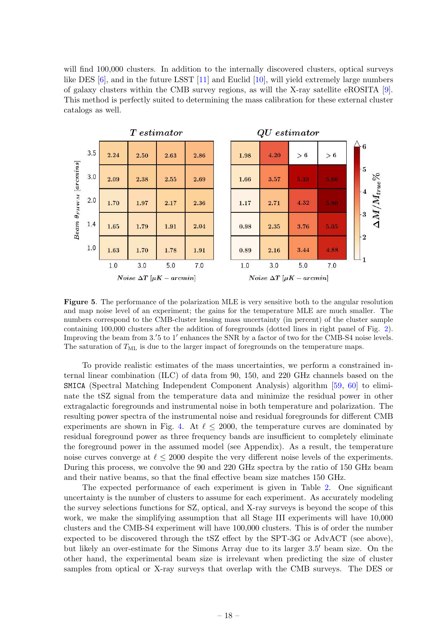will find 100,000 clusters. In addition to the internally discovered clusters, optical surveys like DES [\[6](#page-24-13)], and in the future LSST [\[11\]](#page-24-3) and Euclid [\[10\]](#page-24-16), will yield extremely large numbers of galaxy clusters within the CMB survey regions, as will the X-ray satellite eROSITA [\[9](#page-24-14)]. This method is perfectly suited to determining the mass calibration for these external cluster catalogs as well.



<span id="page-18-0"></span>Figure 5. The performance of the polarization MLE is very sensitive both to the angular resolution and map noise level of an experiment; the gains for the temperature MLE are much smaller. The numbers correspond to the CMB-cluster lensing mass uncertainty (in percent) of the cluster sample containing 100,000 clusters after the addition of foregrounds (dotted lines in right panel of Fig. [2\)](#page-9-1). Improving the beam from  $3.'5$  to 1' enhances the SNR by a factor of two for the CMB-S4 noise levels. The saturation of  $T_{ML}$  is due to the larger impact of foregrounds on the temperature maps.

To provide realistic estimates of the mass uncertainties, we perform a constrained internal linear combination (ILC) of data from 90, 150, and 220 GHz channels based on the SMICA (Spectral Matching Independent Component Analysis) algorithm [\[59](#page-26-13), [60](#page-26-14)] to eliminate the tSZ signal from the temperature data and minimize the residual power in other extragalactic foregrounds and instrumental noise in both temperature and polarization. The resulting power spectra of the instrumental noise and residual foregrounds for different CMB experiments are shown in Fig. [4.](#page-17-1) At  $\ell \leq 2000$ , the temperature curves are dominated by residual foreground power as three frequency bands are insufficient to completely eliminate the foreground power in the assumed model (see Appendix). As a result, the temperature noise curves converge at  $\ell \leq 2000$  despite the very different noise levels of the experiments. During this process, we convolve the 90 and 220 GHz spectra by the ratio of 150 GHz beam and their native beams, so that the final effective beam size matches 150 GHz.

The expected performance of each experiment is given in Table [2.](#page-17-0) One significant uncertainty is the number of clusters to assume for each experiment. As accurately modeling the survey selections functions for SZ, optical, and X-ray surveys is beyond the scope of this work, we make the simplifying assumption that all Stage III experiments will have 10,000 clusters and the CMB-S4 experiment will have 100,000 clusters. This is of order the number expected to be discovered through the tSZ effect by the SPT-3G or AdvACT (see above), but likely an over-estimate for the Simons Array due to its larger 3.5′ beam size. On the other hand, the experimental beam size is irrelevant when predicting the size of cluster samples from optical or X-ray surveys that overlap with the CMB surveys. The DES or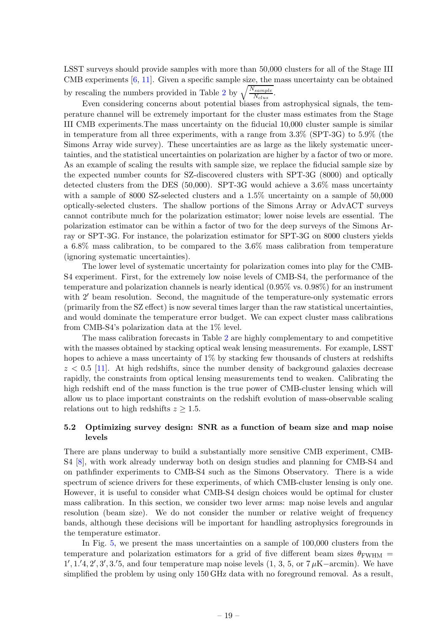LSST surveys should provide samples with more than 50,000 clusters for all of the Stage III CMB experiments [\[6,](#page-24-13) [11\]](#page-24-3). Given a specific sample size, the mass uncertainty can be obtained by rescaling the numbers provided in Table [2](#page-17-0) by  $\sqrt{\frac{N_{sample}}{N_{clus}}}$ .

Even considering concerns about potential biases from astrophysical signals, the temperature channel will be extremely important for the cluster mass estimates from the Stage III CMB experiments.The mass uncertainty on the fiducial 10,000 cluster sample is similar in temperature from all three experiments, with a range from 3.3% (SPT-3G) to 5.9% (the Simons Array wide survey). These uncertainties are as large as the likely systematic uncertainties, and the statistical uncertainties on polarization are higher by a factor of two or more. As an example of scaling the results with sample size, we replace the fiducial sample size by the expected number counts for SZ-discovered clusters with SPT-3G (8000) and optically detected clusters from the DES (50,000). SPT-3G would achieve a 3.6% mass uncertainty with a sample of 8000 SZ-selected clusters and a 1.5% uncertainty on a sample of 50,000 optically-selected clusters. The shallow portions of the Simons Array or AdvACT surveys cannot contribute much for the polarization estimator; lower noise levels are essential. The polarization estimator can be within a factor of two for the deep surveys of the Simons Array or SPT-3G. For instance, the polarization estimator for SPT-3G on 8000 clusters yields a 6.8% mass calibration, to be compared to the 3.6% mass calibration from temperature (ignoring systematic uncertainties).

The lower level of systematic uncertainty for polarization comes into play for the CMB-S4 experiment. First, for the extremely low noise levels of CMB-S4, the performance of the temperature and polarization channels is nearly identical (0.95% vs. 0.98%) for an instrument with 2' beam resolution. Second, the magnitude of the temperature-only systematic errors (primarily from the SZ effect) is now several times larger than the raw statistical uncertainties, and would dominate the temperature error budget. We can expect cluster mass calibrations from CMB-S4's polarization data at the 1% level.

The mass calibration forecasts in Table [2](#page-17-0) are highly complementary to and competitive with the masses obtained by stacking optical weak lensing measurements. For example, LSST hopes to achieve a mass uncertainty of  $1\%$  by stacking few thousands of clusters at redshifts  $z < 0.5$  [\[11](#page-24-3)]. At high redshifts, since the number density of background galaxies decrease rapidly, the constraints from optical lensing measurements tend to weaken. Calibrating the high redshift end of the mass function is the true power of CMB-cluster lensing which will allow us to place important constraints on the redshift evolution of mass-observable scaling relations out to high redshifts  $z \geq 1.5$ .

# <span id="page-19-0"></span>5.2 Optimizing survey design: SNR as a function of beam size and map noise levels

There are plans underway to build a substantially more sensitive CMB experiment, CMB-S4 [\[8](#page-24-2)], with work already underway both on design studies and planning for CMB-S4 and on pathfinder experiments to CMB-S4 such as the Simons Observatory. There is a wide spectrum of science drivers for these experiments, of which CMB-cluster lensing is only one. However, it is useful to consider what CMB-S4 design choices would be optimal for cluster mass calibration. In this section, we consider two lever arms: map noise levels and angular resolution (beam size). We do not consider the number or relative weight of frequency bands, although these decisions will be important for handling astrophysics foregrounds in the temperature estimator.

In Fig. [5,](#page-18-0) we present the mass uncertainties on a sample of 100,000 clusters from the temperature and polarization estimators for a grid of five different beam sizes  $\theta_{\rm FWHM}$  =  $1', 1.'4, 2', 3', 3.'5$ , and four temperature map noise levels  $(1, 3, 5, \text{ or } 7 \,\mu\text{K–arcmin})$ . We have simplified the problem by using only 150 GHz data with no foreground removal. As a result,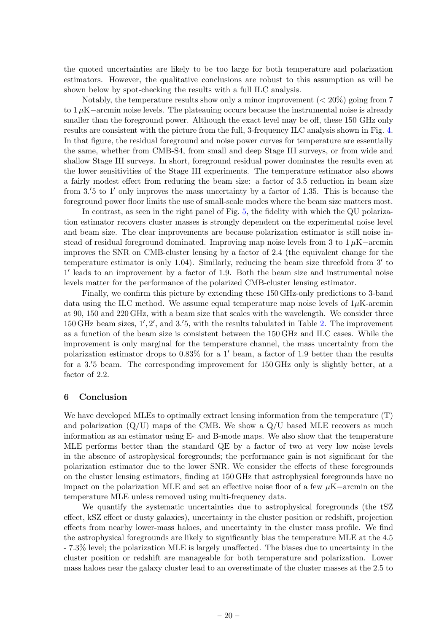the quoted uncertainties are likely to be too large for both temperature and polarization estimators. However, the qualitative conclusions are robust to this assumption as will be shown below by spot-checking the results with a full ILC analysis.

Notably, the temperature results show only a minor improvement  $( $20\%$ ) going from 7$ to  $1 \mu$ K $-$ arcmin noise levels. The plateauing occurs because the instrumental noise is already smaller than the foreground power. Although the exact level may be off, these 150 GHz only results are consistent with the picture from the full, 3-frequency ILC analysis shown in Fig. [4.](#page-17-1) In that figure, the residual foreground and noise power curves for temperature are essentially the same, whether from CMB-S4, from small and deep Stage III surveys, or from wide and shallow Stage III surveys. In short, foreground residual power dominates the results even at the lower sensitivities of the Stage III experiments. The temperature estimator also shows a fairly modest effect from reducing the beam size: a factor of 3.5 reduction in beam size from 3. ′5 to 1′ only improves the mass uncertainty by a factor of 1.35. This is because the foreground power floor limits the use of small-scale modes where the beam size matters most.

In contrast, as seen in the right panel of Fig. [5,](#page-18-0) the fidelity with which the QU polarization estimator recovers cluster masses is strongly dependent on the experimental noise level and beam size. The clear improvements are because polarization estimator is still noise instead of residual foreground dominated. Improving map noise levels from 3 to  $1 \mu$ K $-$ arcmin improves the SNR on CMB-cluster lensing by a factor of 2.4 (the equivalent change for the temperature estimator is only 1.04). Similarly, reducing the beam size threefold from 3′ to 1 ′ leads to an improvement by a factor of 1.9. Both the beam size and instrumental noise levels matter for the performance of the polarized CMB-cluster lensing estimator.

Finally, we confirm this picture by extending these 150 GHz-only predictions to 3-band data using the ILC method. We assume equal temperature map noise levels of  $1\mu$ K-arcmin at 90, 150 and 220 GHz, with a beam size that scales with the wavelength. We consider three  $150 \text{ GHz}$  beam sizes,  $1', 2',$  and  $3.'5$ , with the results tabulated in Table [2.](#page-17-0) The improvement as a function of the beam size is consistent between the 150 GHz and ILC cases. While the improvement is only marginal for the temperature channel, the mass uncertainty from the polarization estimator drops to 0.83% for a 1′ beam, a factor of 1.9 better than the results for a 3. ′5 beam. The corresponding improvement for 150 GHz only is slightly better, at a factor of 2.2.

#### <span id="page-20-0"></span>6 Conclusion

We have developed MLEs to optimally extract lensing information from the temperature (T) and polarization  $(Q/U)$  maps of the CMB. We show a  $Q/U$  based MLE recovers as much information as an estimator using E- and B-mode maps. We also show that the temperature MLE performs better than the standard QE by a factor of two at very low noise levels in the absence of astrophysical foregrounds; the performance gain is not significant for the polarization estimator due to the lower SNR. We consider the effects of these foregrounds on the cluster lensing estimators, finding at 150 GHz that astrophysical foregrounds have no impact on the polarization MLE and set an effective noise floor of a few  $\mu$ K−arcmin on the temperature MLE unless removed using multi-frequency data.

We quantify the systematic uncertainties due to astrophysical foregrounds (the tSZ effect, kSZ effect or dusty galaxies), uncertainty in the cluster position or redshift, projection effects from nearby lower-mass haloes, and uncertainty in the cluster mass profile. We find the astrophysical foregrounds are likely to significantly bias the temperature MLE at the 4.5 - 7.3% level; the polarization MLE is largely unaffected. The biases due to uncertainty in the cluster position or redshift are manageable for both temperature and polarization. Lower mass haloes near the galaxy cluster lead to an overestimate of the cluster masses at the 2.5 to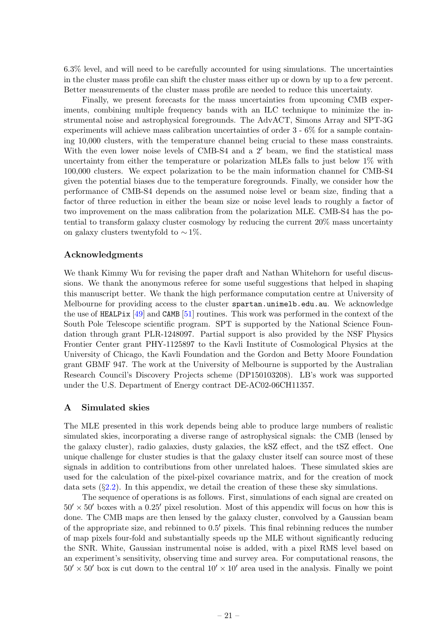6.3% level, and will need to be carefully accounted for using simulations. The uncertainties in the cluster mass profile can shift the cluster mass either up or down by up to a few percent. Better measurements of the cluster mass profile are needed to reduce this uncertainty.

Finally, we present forecasts for the mass uncertainties from upcoming CMB experiments, combining multiple frequency bands with an ILC technique to minimize the instrumental noise and astrophysical foregrounds. The AdvACT, Simons Array and SPT-3G experiments will achieve mass calibration uncertainties of order 3 - 6% for a sample containing 10,000 clusters, with the temperature channel being crucial to these mass constraints. With the even lower noise levels of CMB-S4 and a 2' beam, we find the statistical mass uncertainty from either the temperature or polarization MLEs falls to just below 1% with 100,000 clusters. We expect polarization to be the main information channel for CMB-S4 given the potential biases due to the temperature foregrounds. Finally, we consider how the performance of CMB-S4 depends on the assumed noise level or beam size, finding that a factor of three reduction in either the beam size or noise level leads to roughly a factor of two improvement on the mass calibration from the polarization MLE. CMB-S4 has the potential to transform galaxy cluster cosmology by reducing the current 20% mass uncertainty on galaxy clusters twentyfold to  $\sim$  1%.

#### Acknowledgments

We thank Kimmy Wu for revising the paper draft and Nathan Whitehorn for useful discussions. We thank the anonymous referee for some useful suggestions that helped in shaping this manuscript better. We thank the high performance computation centre at University of Melbourne for providing access to the cluster spartan.unimelb.edu.au. We acknowledge the use of HEALPix  $[49]$  $[49]$  and CAMB  $[51]$  routines. This work was performed in the context of the South Pole Telescope scientific program. SPT is supported by the National Science Foundation through grant PLR-1248097. Partial support is also provided by the NSF Physics Frontier Center grant PHY-1125897 to the Kavli Institute of Cosmological Physics at the University of Chicago, the Kavli Foundation and the Gordon and Betty Moore Foundation grant GBMF 947. The work at the University of Melbourne is supported by the Australian Research Council's Discovery Projects scheme (DP150103208). LB's work was supported under the U.S. Department of Energy contract DE-AC02-06CH11357.

#### <span id="page-21-0"></span>A Simulated skies

The MLE presented in this work depends being able to produce large numbers of realistic simulated skies, incorporating a diverse range of astrophysical signals: the CMB (lensed by the galaxy cluster), radio galaxies, dusty galaxies, the kSZ effect, and the tSZ effect. One unique challenge for cluster studies is that the galaxy cluster itself can source most of these signals in addition to contributions from other unrelated haloes. These simulated skies are used for the calculation of the pixel-pixel covariance matrix, and for the creation of mock data sets (§[2.2\)](#page-4-0). In this appendix, we detail the creation of these these sky simulations.

The sequence of operations is as follows. First, simulations of each signal are created on  $50' \times 50'$  boxes with a 0.25' pixel resolution. Most of this appendix will focus on how this is done. The CMB maps are then lensed by the galaxy cluster, convolved by a Gaussian beam of the appropriate size, and rebinned to 0.5 ′ pixels. This final rebinning reduces the number of map pixels four-fold and substantially speeds up the MLE without significantly reducing the SNR. White, Gaussian instrumental noise is added, with a pixel RMS level based on an experiment's sensitivity, observing time and survey area. For computational reasons, the  $50' \times 50'$  box is cut down to the central  $10' \times 10'$  area used in the analysis. Finally we point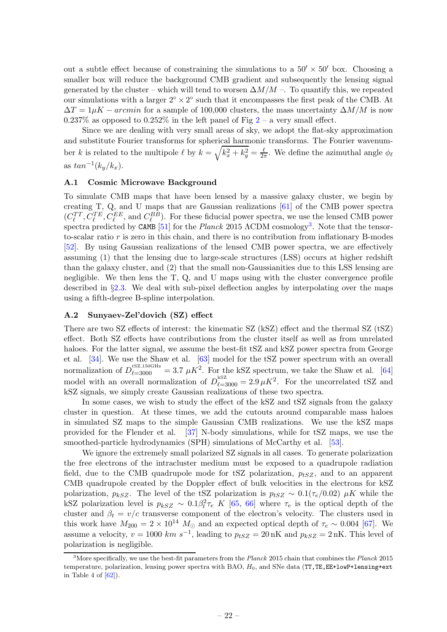out a subtle effect because of constraining the simulations to a  $50' \times 50'$  box. Choosing a smaller box will reduce the background CMB gradient and subsequently the lensing signal generated by the cluster – which will tend to worsen  $\Delta M/M$  –. To quantify this, we repeated our simulations with a larger  $2^{\circ} \times 2^{\circ}$  such that it encompasses the first peak of the CMB. At  $\Delta T = 1 \mu K - arcmin$  for a sample of 100,000 clusters, the mass uncertainty  $\Delta M/M$  is now 0.[2](#page-9-1)37% as opposed to 0.252% in the left panel of Fig  $2 - a$  very small effect.

Since we are dealing with very small areas of sky, we adopt the flat-sky approximation and substitute Fourier transforms for spherical harmonic transforms. The Fourier wavenumber k is related to the multipole  $\ell$  by  $k = \sqrt{k_x^2 + k_y^2} = \frac{\ell}{2x}$  $\frac{\ell}{2\pi}$ . We define the azimuthal angle  $\phi_{\ell}$ as  $tan^{-1}(k_y/k_x)$ .

#### <span id="page-22-0"></span>A.1 Cosmic Microwave Background

To simulate CMB maps that have been lensed by a massive galaxy cluster, we begin by creating T, Q, and U maps that are Gaussian realizations [\[61](#page-26-16)] of the CMB power spectra  $(C_{\ell}^{TT}, C_{\ell}^{TE}, C_{\ell}^{EE}, \text{ and } C_{\ell}^{BB})$ . For these fiducial power spectra, we use the lensed CMB power spectra predicted by CAMB [\[51](#page-26-15)] for the *Planck* 2015  $\Lambda$ CDM cosmology<sup>[3](#page-22-2)</sup>. Note that the tensorto-scalar ratio r is zero in this chain, and there is no contribution from inflationary B-modes [\[52\]](#page-26-17). By using Gaussian realizations of the lensed CMB power spectra, we are effectively assuming (1) that the lensing due to large-scale structures (LSS) occurs at higher redshift than the galaxy cluster, and (2) that the small non-Gaussianities due to this LSS lensing are negligible. We then lens the  $T$ ,  $Q$ , and  $U$  maps using with the cluster convergence profile described in §[2.3.](#page-5-0) We deal with sub-pixel deflection angles by interpolating over the maps using a fifth-degree B-spline interpolation.

#### <span id="page-22-1"></span>A.2 Sunyaev-Zel'dovich (SZ) effect

There are two SZ effects of interest: the kinematic SZ (kSZ) effect and the thermal SZ (tSZ) effect. Both SZ effects have contributions from the cluster itself as well as from unrelated haloes. For the latter signal, we assume the best-fit tSZ and kSZ power spectra from George et al. [\[34](#page-25-12)]. We use the Shaw et al. [\[63](#page-26-18)] model for the tSZ power spectrum with an overall normalization of  $D_{\ell=3000}^{152,150\text{GHz}} = 3.7 \ \mu K^2$ . For the kSZ spectrum, we take the Shaw et al. [\[64](#page-26-19)] model with an overall normalization of  $D_{\ell=3000}^{kSZ} = 2.9 \,\mu K^2$ . For the uncorrelated tSZ and kSZ signals, we simply create Gaussian realizations of these two spectra.

In some cases, we wish to study the effect of the kSZ and tSZ signals from the galaxy cluster in question. At these times, we add the cutouts around comparable mass haloes in simulated SZ maps to the simple Gaussian CMB realizations. We use the kSZ maps provided for the Flender et al. [\[37](#page-25-14)] N-body simulations, while for tSZ maps, we use the smoothed-particle hydrodynamics (SPH) simulations of McCarthy et al. [\[53\]](#page-26-7).

We ignore the extremely small polarized SZ signals in all cases. To generate polarization the free electrons of the intracluster medium must be exposed to a quadrupole radiation field, due to the CMB quadrupole mode for tSZ polarization,  $p_{tSZ}$ , and to an apparent CMB quadrupole created by the Doppler effect of bulk velocities in the electrons for kSZ polarization,  $p_{kSZ}$ . The level of the tSZ polarization is  $p_{tSZ} \sim 0.1(\tau_e/0.02) \mu K$  while the kSZ polarization level is  $p_{kSZ} \sim 0.1 \beta_t^2 \tau_e K$  [\[65](#page-26-20), [66](#page-27-0)] where  $\tau_e$  is the optical depth of the cluster and  $\beta_t = v/c$  transverse component of the electron's velocity. The clusters used in this work have  $M_{200} = 2 \times 10^{14} M_{\odot}$  and an expected optical depth of  $\tau_e \sim 0.004$  [\[67\]](#page-27-1). We assume a velocity,  $v = 1000 \; km \; s^{-1}$ , leading to  $p_{tSZ} = 20 \, \text{nK}$  and  $p_{kSZ} = 2 \, \text{nK}$ . This level of polarization is negligible.

<span id="page-22-2"></span><sup>&</sup>lt;sup>3</sup>More specifically, we use the best-fit parameters from the *Planck* 2015 chain that combines the *Planck* 2015 temperature, polarization, lensing power spectra with BAO,  $H_0$ , and SNe data (TT, TE, EE+lowP+lensing+ext) in Table 4 of  $[62]$ ).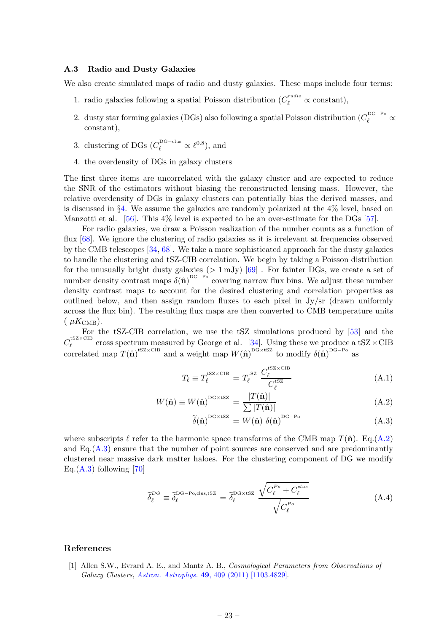#### <span id="page-23-0"></span>A.3 Radio and Dusty Galaxies

We also create simulated maps of radio and dusty galaxies. These maps include four terms:

- 1. radio galaxies following a spatial Poisson distribution  $(C_{\ell}^{radio} \propto \text{constant})$ ,
- 2. dusty star forming galaxies (DGs) also following a spatial Poisson distribution  $(C_{\ell}^{\text{DG-Po}} \propto$ constant),
- 3. clustering of DGs  $(C_{\ell}^{\text{DG-clus}} \propto \ell^{0.8})$ , and
- 4. the overdensity of DGs in galaxy clusters

The first three items are uncorrelated with the galaxy cluster and are expected to reduce the SNR of the estimators without biasing the reconstructed lensing mass. However, the relative overdensity of DGs in galaxy clusters can potentially bias the derived masses, and is discussed in §[4.](#page-9-0) We assume the galaxies are randomly polarized at the 4% level, based on Manzotti et al. [\[56](#page-26-10)]. This  $4\%$  level is expected to be an over-estimate for the DGs [\[57](#page-26-11)].

For radio galaxies, we draw a Poisson realization of the number counts as a function of flux [\[68](#page-27-2)]. We ignore the clustering of radio galaxies as it is irrelevant at frequencies observed by the CMB telescopes [\[34](#page-25-12), [68](#page-27-2)]. We take a more sophisticated approach for the dusty galaxies to handle the clustering and tSZ-CIB correlation. We begin by taking a Poisson distribution for the unusually bright dusty galaxies  $(>1 \,\mathrm{mJy})$  [\[69](#page-27-3)]. For fainter DGs, we create a set of number density contrast maps  $\delta(\hat{\mathbf{n}})^{DG-Po}$  covering narrow flux bins. We adjust these number density contrast maps to account for the desired clustering and correlation properties as outlined below, and then assign random fluxes to each pixel in Jy/sr (drawn uniformly across the flux bin). The resulting flux maps are then converted to CMB temperature units  $(\mu K_{\rm CMB})$ .

For the tSZ-CIB correlation, we use the tSZ simulations produced by [\[53\]](#page-26-7) and the  $C_\ell^{t \rm SZ \times CIB}$  $\ell$  cross spectrum measured by George et al. [\[34](#page-25-12)]. Using these we produce a tSZ  $\times$  CIB correlated map  $T(\hat{\bf n})^{\text{tSZ} \times \text{CIB}}$  and a weight map  $W(\hat{\bf n})^{\text{DG} \times \text{tSZ}}$  to modify  $\delta(\hat{\bf n})^{\text{DG-Po}}$  as

<span id="page-23-2"></span>
$$
T_{\ell} \equiv T_{\ell}^{\text{tSZ} \times \text{CIB}} = T_{\ell}^{\text{tSZ}} \frac{C_{\ell}^{\text{tSZ} \times \text{CIB}}}{C_{\ell}^{\text{tSZ}}} \tag{A.1}
$$

$$
W(\hat{\mathbf{n}}) \equiv W(\hat{\mathbf{n}})^{\text{DG} \times \text{tSZ}} = \frac{|T(\hat{\mathbf{n}})|}{\sum |T(\hat{\mathbf{n}})|}
$$
(A.2)

$$
\widetilde{\delta}(\hat{\mathbf{n}})^{\mathrm{DG} \times \mathrm{tSZ}} = W(\hat{\mathbf{n}}) \delta(\hat{\mathbf{n}})^{\mathrm{DG-Po}} \tag{A.3}
$$

where subscripts  $\ell$  refer to the harmonic space transforms of the CMB map  $T(\hat{\bf n})$ . Eq.[\(A.2\)](#page-23-2) and  $Eq. (A.3)$  $Eq. (A.3)$  ensure that the number of point sources are conserved and are predominantly clustered near massive dark matter haloes. For the clustering component of DG we modify  $Eq.(A.3)$  $Eq.(A.3)$  following [\[70\]](#page-27-4)

$$
\widetilde{\delta}_{\ell}^{DG} \equiv \widetilde{\delta}_{\ell}^{DG-Po,clus, tSZ} = \widetilde{\delta}_{\ell}^{DG \times tSZ} \frac{\sqrt{C_{\ell}^{Po} + C_{\ell}^{clus}}}{\sqrt{C_{\ell}^{Po}}} \tag{A.4}
$$

#### References

<span id="page-23-1"></span>[1] Allen S.W., Evrard A. E., and Mantz A. B., Cosmological Parameters from Observations of Galaxy Clusters, [Astron. Astrophys.](http://adsabs.harvard.edu/cgi-bin/bib_query?arXiv:1103.4829) 49, 409 (2011) [\[1103.4829\].](https://arxiv.org/abs/1103.4829)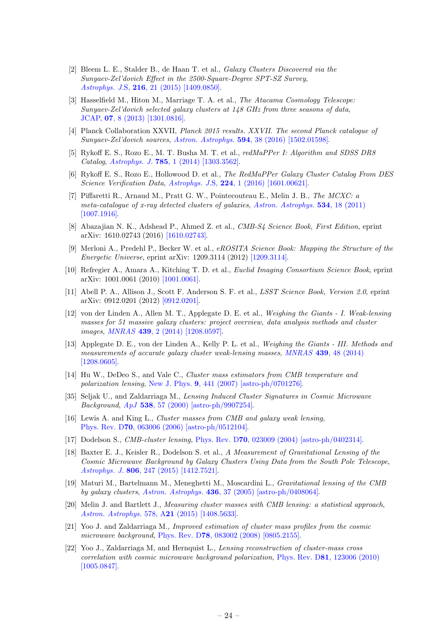- <span id="page-24-0"></span>[2] Bleem L. E., Stalder B., de Haan T. et al., Galaxy Clusters Discovered via the Sunyaev-Zel'dovich Effect in the 2500-Square-Degree SPT-SZ Survey, [Astrophys. J.](http://adsabs.harvard.edu/cgi-bin/bib_query?arXiv:1409.0850)S, 216, 21 (2015) [\[1409.0850\].](https://arxiv.org/abs/1409.0850)
- <span id="page-24-15"></span>[3] Hasselfield M., Hiton M., Marriage T. A. et al., The Atacama Cosmology Telescope: Sunyaev-Zel'dovich selected galaxy clusters at 148 GHz from three seasons of data, JCAP, 07[, 8 \(2013\)](http://adsabs.harvard.edu/cgi-bin/bib_query?arXiv:1301.0816) [\[1301.0816\].](https://arxiv.org/abs/1301.0816)
- [4] Planck Collaboration XXVII, Planck 2015 results. XXVII. The second Planck catalogue of Sunyaev-Zel'dovich sources, [Astron. Astrophys.](http://adsabs.harvard.edu/cgi-bin/bib_query?arXiv:1502.01598) 594, 38 (2016) [\[1502.01598\].](https://arxiv.org/abs/1502.01598)
- [5] Rykoff E. S., Rozo E., M. T. Busha M. T. et al., redMaPPer I: Algorithm and SDSS DR8 Catalog, [Astrophys. J.](http://adsabs.harvard.edu/cgi-bin/bib_query?arXiv:1303.3562) 785, 1 (2014) [\[1303.3562\].](https://arxiv.org/abs/1303.3562)
- <span id="page-24-13"></span>[6] Rykoff E. S., Rozo E., Hollowood D. et al., The RedMaPPer Galaxy Cluster Catalog From DES Science Verification Data, [Astrophys. J.](http://adsabs.harvard.edu/cgi-bin/bib_query?arXiv:1601.00621)S, 224, 1 (2016) [\[1601.00621\].](https://arxiv.org/abs/1601.00621)
- <span id="page-24-1"></span>[7] Piffaretti R., Arnaud M., Pratt G. W., Pointecouteau E., Melin J. B., The MCXC: a meta-catalogue of x-ray detected clusters of galaxies, [Astron. Astrophys.](http://adsabs.harvard.edu/cgi-bin/bib_query?2011A&A...534A.109P)  $534$ , 18 (2011) [\[1007.1916\].](https://arxiv.org/abs/1007.1916)
- <span id="page-24-2"></span>[8] Abazajian N. K., Adshead P., Ahmed Z. et al., CMB-S4 Science Book, First Edition, eprint arXiv: 1610.02743 (2016) [\[1610.02743\].](https://arxiv.org/abs/1610.02743)
- <span id="page-24-14"></span>[9] Merloni A., Predehl P., Becker W. et al., eROSITA Science Book: Mapping the Structure of the Energetic Universe, eprint arXiv: 1209.3114 (2012) [\[1209.3114\].](https://arxiv.org/abs/1209.3114)
- <span id="page-24-16"></span>[10] Refregier A., Amara A., Kitching T. D. et al., Euclid Imaging Consortium Science Book, eprint arXiv: 1001.0061 (2010) [\[1001.0061\].](https://arxiv.org/abs/1001.0061)
- <span id="page-24-3"></span>[11] Abell P. A., Allison J., Scott F. Anderson S. F. et al., LSST Science Book, Version 2.0, eprint arXiv: 0912.0201 (2012) [\[0912.0201\].](https://arxiv.org/abs/0912.0201)
- <span id="page-24-4"></span>[12] von der Linden A., Allen M. T., Applegate D. E. et al., Weighing the Giants - I. Weak-lensing masses for 51 massive galaxy clusters: project overview, data analysis methods and cluster images, MNRAS **439**[, 2 \(2014\)](http://adsabs.harvard.edu/cgi-bin/bib_query?arXiv:1208.0597) [\[1208.0597\].](https://arxiv.org/abs/1208.0597)
- <span id="page-24-5"></span>[13] Applegate D. E., von der Linden A., Kelly P. L. et al., Weighing the Giants - III. Methods and measurements of accurate galaxy cluster weak-lensing masses, MNRAS 439[, 48 \(2014\)](http://adsabs.harvard.edu/cgi-bin/bib_query?arXiv:1208.0605) [\[1208.0605\].](https://arxiv.org/abs/1208.0605)
- <span id="page-24-6"></span>[14] Hu W., DeDeo S., and Vale C., *Cluster mass estimators from CMB temperature and* polarization lensing, [New J. Phys.](http://adsabs.harvard.edu/cgi-bin/bib_query?arXiv:astro-ph/0701276) 9, 441 (2007) [\[astro-ph/0701276\].](https://arxiv.org/abs/astro-ph/0701276)
- [35] Seljak U., and Zaldarriaga M., Lensing Induced Cluster Signatures in Cosmic Microwave Background, ApJ 538[, 57 \(2000\)](http://adsabs.harvard.edu/cgi-bin/bib_query?arXiv:astro-ph/9907254) [\[astro-ph/9907254\].](https://arxiv.org/abs/astro-ph/9907254)
- <span id="page-24-7"></span>[16] Lewis A. and King L., *Cluster masses from CMB and galaxy weak lensing*, Phys. Rev. D70[, 063006 \(2006\)](http://adsabs.harvard.edu/cgi-bin/bib_query?arXiv:astro-ph/0512104) [\[astro-ph/0512104\].](https://arxiv.org/abs/astro-ph/0512104v2)
- [17] Dodelson S., CMB-cluster lensing, Phys. Rev. D70[, 023009 \(2004\)](http://adsabs.harvard.edu/cgi-bin/bib_query?arXiv:astro-ph/0402314) [\[astro-ph/0402314\].](https://arxiv.org/abs/astro-ph/0402314)
- <span id="page-24-8"></span>[18] Baxter E. J., Keisler R., Dodelson S. et al., A Measurement of Gravitational Lensing of the Cosmic Microwave Background by Galaxy Clusters Using Data from the South Pole Telescope, [Astrophys. J.](http://adsabs.harvard.edu/cgi-bin/bib_query?arXiv:1412.7521) 806, 247 (2015) [\[1412.7521\].](https://arxiv.org/abs/1412.7521)
- <span id="page-24-9"></span>[19] Maturi M., Bartelmann M., Meneghetti M., Moscardini L., Gravitational lensing of the CMB by galaxy clusters, [Astron. Astrophys.](http://adsabs.harvard.edu/cgi-bin/bib_query?arXiv:astro-ph/0408064) 436, 37 (2005) [\[astro-ph/0408064\].](https://arxiv.org/abs/astro-ph/0408064)
- <span id="page-24-11"></span>[20] Melin J. and Bartlett J., Measuring cluster masses with CMB lensing: a statistical approach, [Astron. Astrophys.](http://adsabs.harvard.edu/cgi-bin/bib_query?arXiv:1408.5633) 578, A21 (2015) [\[1408.5633\].](https://arxiv.org/abs/1408.5633)
- <span id="page-24-12"></span>[21] Yoo J. and Zaldarriaga M., Improved estimation of cluster mass profiles from the cosmic microwave background, Phys. Rev. D78[, 083002 \(2008\)](http://adsabs.harvard.edu/cgi-bin/bib_query?arXiv:0805.2155) [\[0805.2155\].](https://arxiv.org/abs/0805.2155)
- <span id="page-24-10"></span>[22] Yoo J., Zaldarriaga M, and Hernquist L., Lensing reconstruction of cluster-mass cross correlation with cosmic microwave background polarization, Phys. Rev. D81[, 123006 \(2010\)](http://adsabs.harvard.edu/cgi-bin/bib_query?arXiv:1005.0847) [\[1005.0847\].](https://arxiv.org/abs/1005.0847)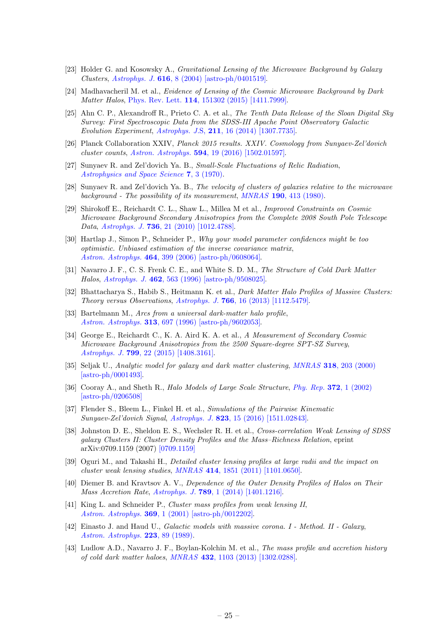- <span id="page-25-1"></span>[23] Holder G. and Kosowsky A., Gravitational Lensing of the Microwave Background by Galaxy Clusters, [Astrophys. J.](http://adsabs.harvard.edu/cgi-bin/bib_query?arXiv:astro-ph/0401519) 616, 8 (2004) [\[astro-ph/0401519\].](https://arxiv.org/abs/astro-ph/0401519)
- <span id="page-25-2"></span>[24] Madhavacheril M. et al., Evidence of Lensing of the Cosmic Microwave Background by Dark Matter Halos, [Phys. Rev. Lett.](http://adsabs.harvard.edu/cgi-bin/bib_query?arXiv:1411.7999) 114, 151302 (2015) [\[1411.7999\].](https://arxiv.org/abs/1411.7999)
- <span id="page-25-3"></span>[25] Ahn C. P., Alexandroff R., Prieto C. A. et al., The Tenth Data Release of the Sloan Digital Sky Survey: First Spectroscopic Data from the SDSS-III Apache Point Observatory Galactic Evolution Experiment, [Astrophys. J.](http://adsabs.harvard.edu/cgi-bin/bib_query?arXiv:1307.7735)S, 211, 16 (2014) [\[1307.7735\].](https://arxiv.org/abs/1307.7735)
- <span id="page-25-4"></span>[26] Planck Collaboration XXIV, Planck 2015 results. XXIV. Cosmology from Sunyaev-Zel'dovich cluster counts, [Astron. Astrophys.](http://adsabs.harvard.edu/cgi-bin/bib_query?arXiv:1502.01597) 594, 19 (2016) [\[1502.01597\].](https://arxiv.org/abs/1502.01597)
- <span id="page-25-5"></span>[27] Sunyaev R. and Zel'dovich Ya. B., Small-Scale Fluctuations of Relic Radiation, [Astrophysics and Space Science](http://adsabs.harvard.edu/abs/1970Ap%26SS...7....3S) 7, 3 (1970).
- <span id="page-25-6"></span>[28] Sunyaev R. and Zel'dovich Ya. B., The velocity of clusters of galaxies relative to the microwave background - The possibility of its measurement, MNRAS 190[, 413 \(1980\).](http://adsabs.harvard.edu/abs/1980MNRAS.190..413S)
- <span id="page-25-7"></span>[29] Shirokoff E., Reichardt C. L., Shaw L., Millea M et al., Improved Constraints on Cosmic Microwave Background Secondary Anisotropies from the Complete 2008 South Pole Telescope Data, [Astrophys. J.](http://adsabs.harvard.edu/cgi-bin/bib_query?arXiv:1012.4788) 736, 21 (2010) [\[1012.4788\].](https://arxiv.org/abs/1012.4788)
- <span id="page-25-8"></span>[30] Hartlap J., Simon P., Schneider P., Why your model parameter confidences might be too optimistic. Unbiased estimation of the inverse covariance matrix, [Astron. Astrophys.](http://adsabs.harvard.edu/cgi-bin/bib_query?arXiv:astro-ph/0608064) 464, 399 (2006) [\[astro-ph/0608064\].](https://arxiv.org/abs/astro-ph/0608064)
- <span id="page-25-9"></span>[31] Navarro J. F., C. S. Frenk C. E., and White S. D. M., The Structure of Cold Dark Matter Halos, [Astrophys. J.](http://adsabs.harvard.edu/cgi-bin/bib_query?arXiv:astro-ph/9508025) 462, 563 (1996) [\[astro-ph/9508025\].](https://arxiv.org/abs/astro-ph/9508025)
- <span id="page-25-10"></span>[32] Bhattacharya S., Habib S., Heitmann K. et al., *Dark Matter Halo Profiles of Massive Clusters:* Theory versus Observations, [Astrophys. J.](http://adsabs.harvard.edu/cgi-bin/bib_query?arXiv:1112.5479) 766, 16 (2013) [\[1112.5479\].](https://arxiv.org/abs/1112.5479)
- <span id="page-25-11"></span>[33] Bartelmann M., Arcs from a universal dark-matter halo profile, [Astron. Astrophys.](http://adsabs.harvard.edu/cgi-bin/bib_query?arXiv:astro-ph/9602053) 313, 697 (1996) [\[astro-ph/9602053\].](https://arxiv.org/abs/astro-ph/9602053)
- <span id="page-25-12"></span>[34] George E., Reichardt C., K. A. Aird K. A. et al., A Measurement of Secondary Cosmic Microwave Background Anisotropies from the 2500 Square-degree SPT-SZ Survey, [Astrophys. J.](http://adsabs.harvard.edu/cgi-bin/bib_query?arXiv:1408.3161) 799, 22 (2015) [\[1408.3161\].](https://arxiv.org/abs/1408.3161)
- <span id="page-25-0"></span>[35] Seljak U., Analytic model for galaxy and dark matter clustering, MNRAS 318[, 203 \(2000\)](http://adsabs.harvard.edu/cgi-bin/bib_query?arXiv:astro-ph/0001493) [\[astro-ph/0001493\].](https://arxiv.org/abs/astro-ph/0001493)
- <span id="page-25-13"></span>[36] Cooray A., and Sheth R., Halo Models of Large Scale Structure, [Phy. Rep.](http://adsabs.harvard.edu/cgi-bin/bib_query?arXiv:astro-ph/0206508) 372, 1 (2002) [\[astro-ph/0206508\]](https://arxiv.org/abs/astro-ph/0206508)
- <span id="page-25-14"></span>[37] Flender S., Bleem L., Finkel H. et al., Simulations of the Pairwise Kinematic Sunyaev-Zel'dovich Signal, [Astrophys. J.](http://adsabs.harvard.edu/cgi-bin/bib_query?arXiv:1511.02843) 823, 15 (2016) [\[1511.02843\].](https://arxiv.org/abs/1511.02843)
- <span id="page-25-15"></span>[38] Johnston D. E., Sheldon E. S., Wechsler R. H. et al., Cross-correlation Weak Lensing of SDSS galaxy Clusters II: Cluster Density Profiles and the Mass–Richness Relation, eprint arXiv:0709.1159 (2007) [\[0709.1159\]](https://arxiv.org/abs/0709.1159)
- <span id="page-25-16"></span>[39] Oguri M., and Takashi H., Detailed cluster lensing profiles at large radii and the impact on cluster weak lensing studies, MNRAS 414[, 1851 \(2011\)](http://adsabs.harvard.edu/abs/2011MNRAS.414.1851O) [\[1101.0650\].](https://arxiv.org/abs/1101.0650)
- <span id="page-25-17"></span>[40] Diemer B. and Kravtsov A. V., Dependence of the Outer Density Profiles of Halos on Their Mass Accretion Rate, [Astrophys. J.](http://adsabs.harvard.edu/cgi-bin/bib_query?arXiv:1401.1216) 789, 1 (2014) [\[1401.1216\].](https://arxiv.org/abs/1401.1216)
- <span id="page-25-18"></span>[41] King L. and Schneider P., *Cluster mass profiles from weak lensing II*, [Astron. Astrophys.](http://adsabs.harvard.edu/cgi-bin/bib_query?arXiv:astro-ph/0012202) 369, 1 (2001) [\[astro-ph/0012202\].](https://arxiv.org/abs/astro-ph/0012202)
- <span id="page-25-19"></span>[42] Einasto J. and Haud U., Galactic models with massive corona. I - Method. II - Galaxy, [Astron. Astrophys.](http://adsabs.harvard.edu/abs/1989A%26A...223...89E) 223, 89 (1989).
- <span id="page-25-20"></span>[43] Ludlow A.D., Navarro J. F., Boylan-Kolchin M. et al., The mass profile and accretion history of cold dark matter haloes, MNRAS 432[, 1103 \(2013\)](http://adsabs.harvard.edu/cgi-bin/bib_query?arXiv:1302.0288) [\[1302.0288\].](https://arxiv.org/abs/1302.0288)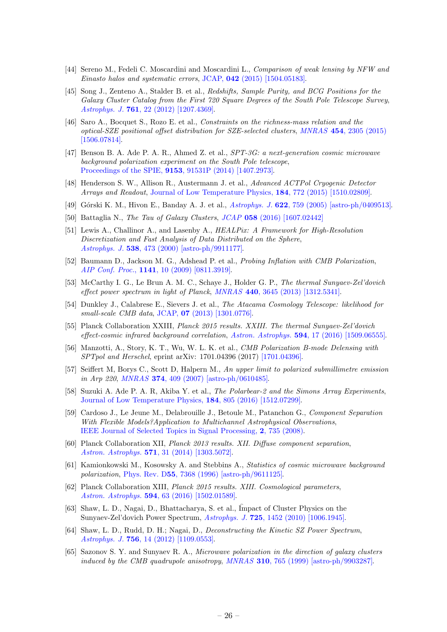- <span id="page-26-0"></span>[44] Sereno M., Fedeli C. Moscardini and Moscardini L., Comparison of weak lensing by NFW and Einasto halos and systematic errors, [JCAP,](http://adsabs.harvard.edu/cgi-bin/bib_query?arXiv:1504.05183) 042 (2015) [\[1504.05183\].](https://arxiv.org/abs/1504.05183)
- <span id="page-26-1"></span>[45] Song J., Zenteno A., Stalder B. et al., Redshifts, Sample Purity, and BCG Positions for the Galaxy Cluster Catalog from the First 720 Square Degrees of the South Pole Telescope Survey, [Astrophys. J.](http://adsabs.harvard.edu/cgi-bin/bib_query?arXiv:1207.4369) 761, 22 (2012) [\[1207.4369\].](https://arxiv.org/abs/1207.4369)
- <span id="page-26-2"></span>[46] Saro A., Bocquet S., Rozo E. et al., Constraints on the richness-mass relation and the optical-SZE positional offset distribution for SZE-selected clusters, MNRAS 454[, 2305 \(2015\)](http://adsabs.harvard.edu/cgi-bin/bib_query?arXiv:1506.07814) [\[1506.07814\].](https://arxiv.org/abs/1506.07814)
- <span id="page-26-3"></span>[47] Benson B. A. Ade P. A. R., Ahmed Z. et al., SPT-3G: a next-generation cosmic microwave background polarization experiment on the South Pole telescope, [Proceedings of the SPIE,](http://adsabs.harvard.edu/cgi-bin/bib_query?arXiv:1407.2973) 9153, 91531P (2014) [\[1407.2973\].](https://arxiv.org/abs/1407.2973)
- <span id="page-26-4"></span>[48] Henderson S. W., Allison R., Austermann J. et al., Advanced ACTPol Cryogenic Detector Arrays and Readout, [Journal of Low Temperature Physics,](http://adsabs.harvard.edu/cgi-bin/bib_query?arXiv:1510.02809) 184, 772 (2015) [\[1510.02809\].](https://arxiv.org/abs/1510.02809)
- <span id="page-26-5"></span>[49] Górski K. M., Hivon E., Banday A. J. et al., [Astrophys. J.](http://adsabs.harvard.edu/cgi-bin/bib_query?arXiv:astro-ph/0409513) 622, 759 (2005) [\[astro-ph/0409513\].](https://arxiv.org/abs/astro-ph/0409513)
- <span id="page-26-6"></span>[50] Battaglia N., The Tau of Galaxy Clusters, JCAP 058 [\(2016\)](http://adsabs.harvard.edu/cgi-bin/bib_query?arXiv:1607.02442) [\[1607.02442\]](https://arxiv.org/abs/1607.02442)
- <span id="page-26-15"></span>[51] Lewis A., Challinor A., and Lasenby A., HEALPix: A Framework for High-Resolution Discretization and Fast Analysis of Data Distributed on the Sphere, [Astrophys. J.](http://adsabs.harvard.edu/cgi-bin/bib_query?arXiv:astro-ph/0409513) 538, 473 (2000) [\[astro-ph/9911177\].](https://arxiv.org/abs/astro-ph/9911177)
- <span id="page-26-17"></span>[52] Baumann D., Jackson M. G., Adshead P. et al., Probing Inflation with CMB Polarization, [AIP Conf. Proc.](http://adsabs.harvard.edu/cgi-bin/bib_query?arXiv:0811.3919), 1141, 10 (2009) [\[0811.3919\].](https://arxiv.org/abs/0811.3919)
- <span id="page-26-7"></span>[53] McCarthy I. G., Le Brun A. M. C., Schaye J., Holder G. P., The thermal Sunyaev-Zel'dovich effect power spectrum in light of Planck, MNRAS 440[, 3645 \(2013\)](http://adsabs.harvard.edu/cgi-bin/bib_query?arXiv:1312.5341) [\[1312.5341\].](https://arxiv.org/abs/1312.5341)
- <span id="page-26-8"></span>[54] Dunkley J., Calabrese E., Sievers J. et al., The Atacama Cosmology Telescope: likelihood for small-scale CMB data, [JCAP,](http://adsabs.harvard.edu/cgi-bin/bib_query?arXiv:1301.0776) 07 (2013) [\[1301.0776\].](https://arxiv.org/abs/1301.0776)
- <span id="page-26-9"></span>[55] Planck Collaboration XXIII, Planck 2015 results. XXIII. The thermal Sunyaev-Zel'dovich effect-cosmic infrared background correlation, [Astron. Astrophys.](http://adsabs.harvard.edu/cgi-bin/bib_query?arXiv:1509.06555) 594, 17 (2016) [\[1509.06555\].](https://arxiv.org/abs/1509.06555)
- <span id="page-26-10"></span>[56] Manzotti, A., Story, K. T., Wu, W. L. K. et al., CMB Polarization B-mode Delensing with SPTpol and Herschel, eprint arXiv: 1701.04396 (2017) [\[1701.04396\].](https://arxiv.org/abs/1701.04396)
- <span id="page-26-11"></span>[57] Seiffert M, Borys C., Scott D, Halpern M., An upper limit to polarized submillimetre emission in Arp 220, MNRAS 374[, 409 \(2007\)](http://adsabs.harvard.edu/cgi-bin/bib_query?arXiv:astro-ph/0610485) [\[astro-ph/0610485\].](https://arxiv.org/abs/astro-ph/0610485)
- <span id="page-26-12"></span>[58] Suzuki A. Ade P. A. R, Akiba Y. et al., The Polarbear-2 and the Simons Array Experiments, [Journal of Low Temperature Physics,](http://adsabs.harvard.edu/cgi-bin/bib_query?arXiv:1512.07299) 184, 805 (2016) [\[1512.07299\].](https://arxiv.org/abs/1512.07299)
- <span id="page-26-13"></span>[59] Cardoso J., Le Jeune M., Delabrouille J., Betoule M., Patanchon G., Component Separation With Flexible Models?Application to Multichannel Astrophysical Observations, [IEEE Journal of Selected Topics in Signal Processing,](http://adsabs.harvard.edu/abs/2008ISTSP...2..735C) 2, 735 (2008).
- <span id="page-26-14"></span>[60] Planck Collaboration XII, Planck 2013 results. XII. Diffuse component separation, [Astron. Astrophys.](http://adsabs.harvard.edu/cgi-bin/bib_query?arXiv:1303.5072) 571, 31 (2014) [\[1303.5072\].](https://arxiv.org/abs/1303.5072)
- <span id="page-26-16"></span>[61] Kamionkowski M., Kosowsky A. and Stebbins A., Statistics of cosmic microwave background polarization, Phys. Rev. D55[, 7368 \(1996\)](http://adsabs.harvard.edu/cgi-bin/bib_query?arXiv:astro-ph/9611125) [\[astro-ph/9611125\].](https://arxiv.org/abs/astro-ph/9611125v1)
- <span id="page-26-21"></span>[62] Planck Collaboration XIII, Planck 2015 results. XIII. Cosmological parameters, [Astron. Astrophys.](http://adsabs.harvard.edu/cgi-bin/bib_query?arXiv:1502.01589) 594, 63 (2016) [\[1502.01589\].](https://arxiv.org/abs/1502.01589)
- <span id="page-26-18"></span>[63] Shaw, L. D., Nagai, D., Bhattacharya, S. et al., Impact of Cluster Physics on the Sunyaev-Zel'dovich Power Spectrum, Astrophys. J. 725[, 1452 \(2010\)](http://adsabs.harvard.edu/cgi-bin/bib_query?arXiv:1006.1945) [\[1006.1945\].](https://arxiv.org/abs/1006.1945)
- <span id="page-26-19"></span>[64] Shaw, L. D., Rudd, D. H.; Nagai, D., Deconstructing the Kinetic SZ Power Spectrum, [Astrophys. J.](http://adsabs.harvard.edu/cgi-bin/bib_query?arXiv:1109.0553) 756, 14 (2012) [\[1109.0553\].](https://arxiv.org/abs/1109.0553)
- <span id="page-26-20"></span>[65] Sazonov S. Y. and Sunyaev R. A., Microwave polarization in the direction of galaxy clusters induced by the CMB quadrupole anisotropy, MNRAS 310[, 765 \(1999\)](http://adsabs.harvard.edu/cgi-bin/bib_query?arXiv:astro-ph/9903287) [\[astro-ph/9903287\].](https://arxiv.org/abs/astro-ph/9903287)